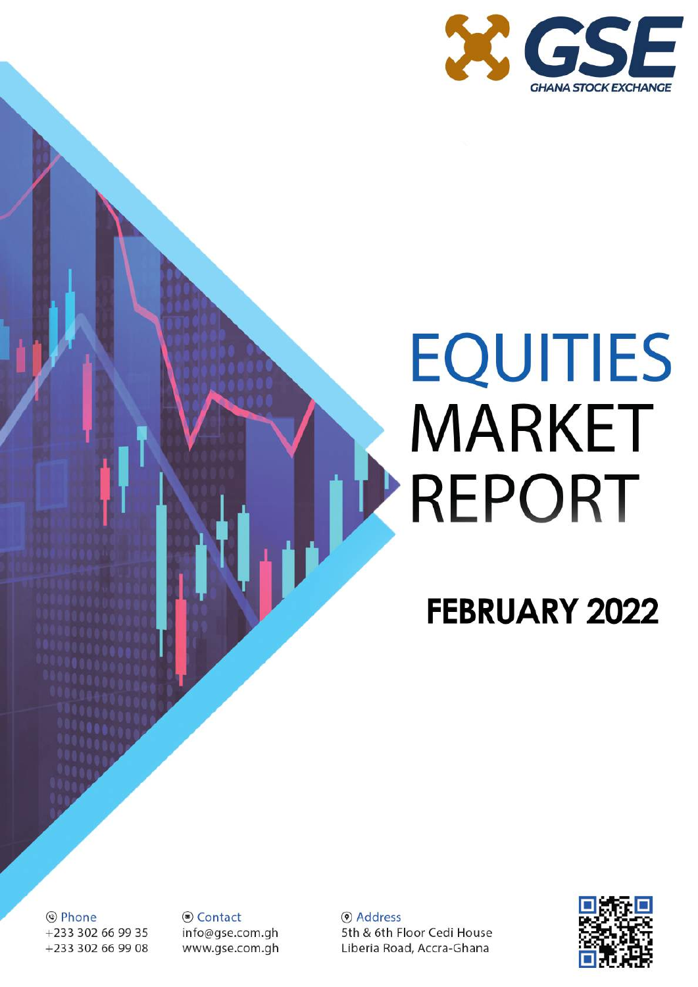

# **EQUITIES MARKET TREPORT**

### **FEBRUARY 2022**

© Phone +233 302 66 99 35 +233 302 66 99 08 S Contact info@gse.com.gh www.gse.com.gh

(a) Address 5th & 6th Floor Cedi House Liberia Road, Accra-Ghana

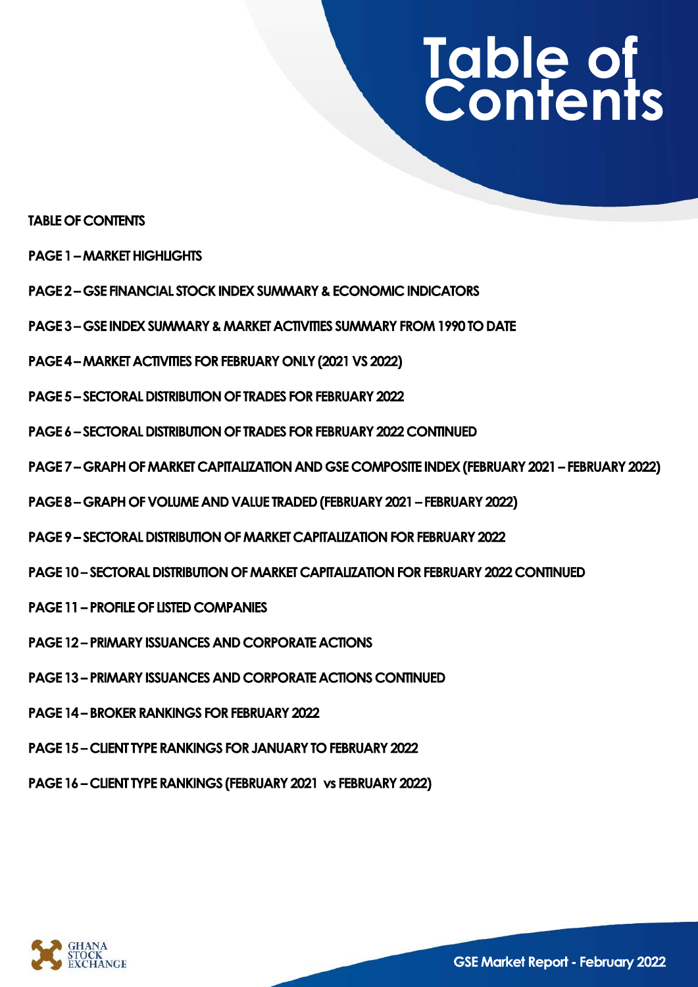## **Table of Contents**

#### **TABLE OF CONTENTS**

- **PAGE1–MARKETHIGHLIGHTS**
- **PAGE 2 GSE FINANCIAL STOCK INDEX SUMMARY & ECONOMIC INDICATORS**
- **PAGE3–GSEINDEXSUMMARY&MARKETACTIVITIESSUMMARYFROM1990TODATE**
- PAGE 4 MARKET ACTIVITIES FOR FEBRUARY ONLY (2021 VS 2022)
- **PAGE 5 SECTORAL DISTRIBUTION OF TRADES FOR FEBRUARY 2022**
- **PAGE6–SECTORALDISTRIBUTIONOFTRADESFORFEBRUARY2022CONTINUED**
- **PAGE7–GRAPHOFMARKETCAPITALIZATIONANDGSECOMPOSITEINDEX(FEBRUARY2021–FEBRUARY2022)**
- **PAGE8–GRAPHOFVOLUMEANDVALUETRADED(FEBRUARY2021–FEBRUARY2022)**
- **PAGE9–SECTORALDISTRIBUTIONOFMARKETCAPITALIZATIONFORFEBRUARY2022**
- **PAGE 10 SECTORAL DISTRIBUTION OF MARKET CAPITALIZATION FOR FEBRUARY 2022 CONTINUED**
- **PAGE 11 PROFILE OF LISTED COMPANIES**
- **PAGE 12 PRIMARY ISSUANCES AND CORPORATE ACTIONS**
- **PAGE 13 PRIMARY ISSUANCES AND CORPORATE ACTIONS CONTINUED**
- **PAGE 14 BROKER RANKINGS FOR FEBRUARY 2022**
- **PAGE 15 CLIENT TYPE RANKINGS FOR JANUARY TO FEBRUARY 2022**
- PAGE 16 CLIENT TYPE RANKINGS (FEBRUARY 2021 vs FEBRUARY 2022)

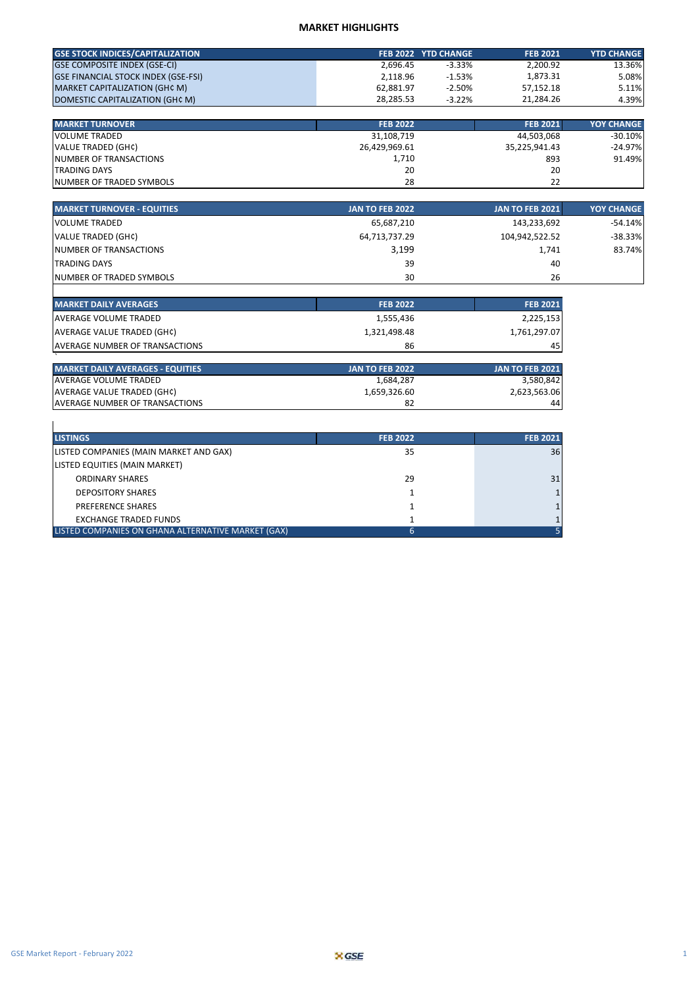#### **MARKET HIGHLIGHTS**

| <b>GSE STOCK INDICES/CAPITALIZATION</b>    |           | FEB 2022 YTD CHANGE | <b>FEB 2021</b> | <b>YTD CHANGE</b> |
|--------------------------------------------|-----------|---------------------|-----------------|-------------------|
| <b>GSE COMPOSITE INDEX (GSE-CI)</b>        | 2.696.45  | $-3.33%$            | 2,200.92        | 13.36%            |
| <b>GSE FINANCIAL STOCK INDEX (GSE-FSI)</b> | 2.118.96  | $-1.53%$            | 1.873.31        | 5.08%             |
| MARKET CAPITALIZATION (GH¢ M)              | 62.881.97 | $-2.50%$            | 57.152.18       | 5.11%             |
| DOMESTIC CAPITALIZATION (GHC M)            | 28.285.53 | $-3.22\%$           | 21.284.26       | 4.39%             |

| <b>MARKET TURNOVER</b>           | <b>FEB 2022</b> | <b>FEB 2021</b> | <b>YOY CHANGE</b> |
|----------------------------------|-----------------|-----------------|-------------------|
| VOLUME TRADED                    | 31,108,719      | 44,503,068      | $-30.10%$         |
| VALUE TRADED (GH¢)               | 26,429,969.61   | 35,225,941.43   | $-24.97%$         |
| <b>NUMBER OF TRANSACTIONS</b>    | 1,710           | 893             | 91.49%            |
| <b>ITRADING DAYS</b>             | 20              | 20              |                   |
| <b>INUMBER OF TRADED SYMBOLS</b> | 28              | 22              |                   |

| <b>MARKET TURNOVER - EQUITIES</b> | <b>JAN TO FEB 2022</b> | <b>JAN TO FEB 2021</b> | <b>YOY CHANGE</b> |
|-----------------------------------|------------------------|------------------------|-------------------|
| VOLUME TRADED                     | 65,687,210             | 143,233,692            | $-54.14%$         |
| VALUE TRADED (GH¢)                | 64,713,737.29          | 104,942,522.52         | $-38.33%$         |
| <b>INUMBER OF TRANSACTIONS</b>    | 3,199                  | 1,741                  | 83.74%            |
| <b>TRADING DAYS</b>               | 39                     | 40                     |                   |
| <b>INUMBER OF TRADED SYMBOLS</b>  | 30                     | 26                     |                   |

| <b>MARKET DAILY AVERAGES</b>           | <b>FEB 2022</b> | <b>FEB 2021</b> |
|----------------------------------------|-----------------|-----------------|
| <b>IAVERAGE VOLUME TRADED</b>          | 1,555,436       | 2,225,153       |
| AVERAGE VALUE TRADED (GH¢)             | 1,321,498.48    | 1,761,297.07    |
| <b>LAVERAGE NUMBER OF TRANSACTIONS</b> | 86              | 45              |

| <b>MARKET DAILY AVERAGES - EQUITIES</b> | <b>JAN TO FEB 2022</b> | <b>JAN TO FEB 2021</b> |
|-----------------------------------------|------------------------|------------------------|
| <b>LAVERAGE VOLUME TRADED</b>           | 1.684.287              | 3,580,842              |
| AVERAGE VALUE TRADED (GH¢)              | 1.659.326.60           | 2,623,563.06           |
| <b>LAVERAGE NUMBER OF TRANSACTIONS</b>  | 82                     | 44                     |

| <b>LISTINGS</b>                                    | <b>FEB 2022</b> | <b>FEB 2021</b> |
|----------------------------------------------------|-----------------|-----------------|
| LISTED COMPANIES (MAIN MARKET AND GAX)             | 35              | 36 <sup>1</sup> |
| LISTED EQUITIES (MAIN MARKET)                      |                 |                 |
| <b>ORDINARY SHARES</b>                             | 29              | 31              |
| <b>DEPOSITORY SHARES</b>                           |                 |                 |
| <b>PREFERENCE SHARES</b>                           |                 |                 |
| <b>EXCHANGE TRADED FUNDS</b>                       |                 |                 |
| LISTED COMPANIES ON GHANA ALTERNATIVE MARKET (GAX) | 6               |                 |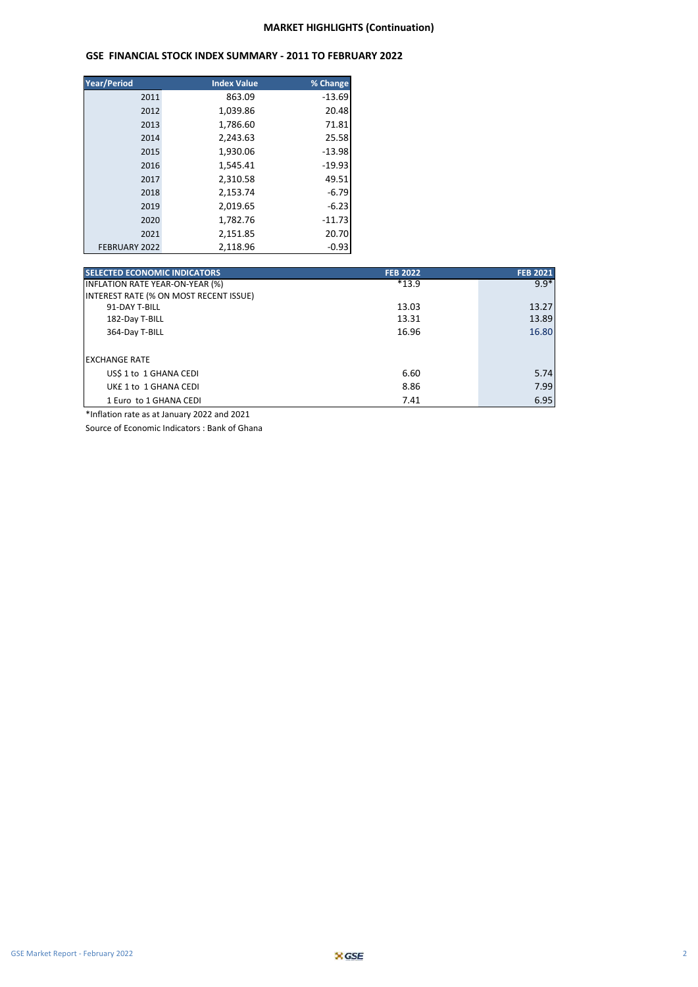#### **GSE FINANCIAL STOCK INDEX SUMMARY - 2011 TO FEBRUARY 2022**

| <b>Year/Period</b> | <b>Index Value</b> | % Change |
|--------------------|--------------------|----------|
| 2011               | 863.09             | $-13.69$ |
| 2012               | 1,039.86           | 20.48    |
| 2013               | 1,786.60           | 71.81    |
| 2014               | 2.243.63           | 25.58    |
| 2015               | 1,930.06           | $-13.98$ |
| 2016               | 1,545.41           | $-19.93$ |
| 2017               | 2,310.58           | 49.51    |
| 2018               | 2,153.74           | $-6.79$  |
| 2019               | 2,019.65           | $-6.23$  |
| 2020               | 1,782.76           | $-11.73$ |
| 2021               | 2,151.85           | 20.70    |
| FEBRUARY 2022      | 2.118.96           | $-0.93$  |

| <b>SELECTED ECONOMIC INDICATORS</b>    | <b>FEB 2022</b> | <b>FEB 2021</b> |
|----------------------------------------|-----------------|-----------------|
| <b>INFLATION RATE YEAR-ON-YEAR (%)</b> | $*13.9$         | $9.9*$          |
| INTEREST RATE (% ON MOST RECENT ISSUE) |                 |                 |
| 91-DAY T-BILL                          | 13.03           | 13.27           |
| 182-Day T-BILL                         | 13.31           | 13.89           |
| 364-Day T-BILL                         | 16.96           | 16.80           |
|                                        |                 |                 |
| <b>EXCHANGE RATE</b>                   |                 |                 |
| US\$ 1 to 1 GHANA CEDI                 | 6.60            | 5.74            |
| UKE 1 to 1 GHANA CEDI                  | 8.86            | 7.99            |
| 1 Euro to 1 GHANA CEDI                 | 7.41            | 6.95            |

\*Inflation rate as at January 2022 and 2021

Source of Economic Indicators : Bank of Ghana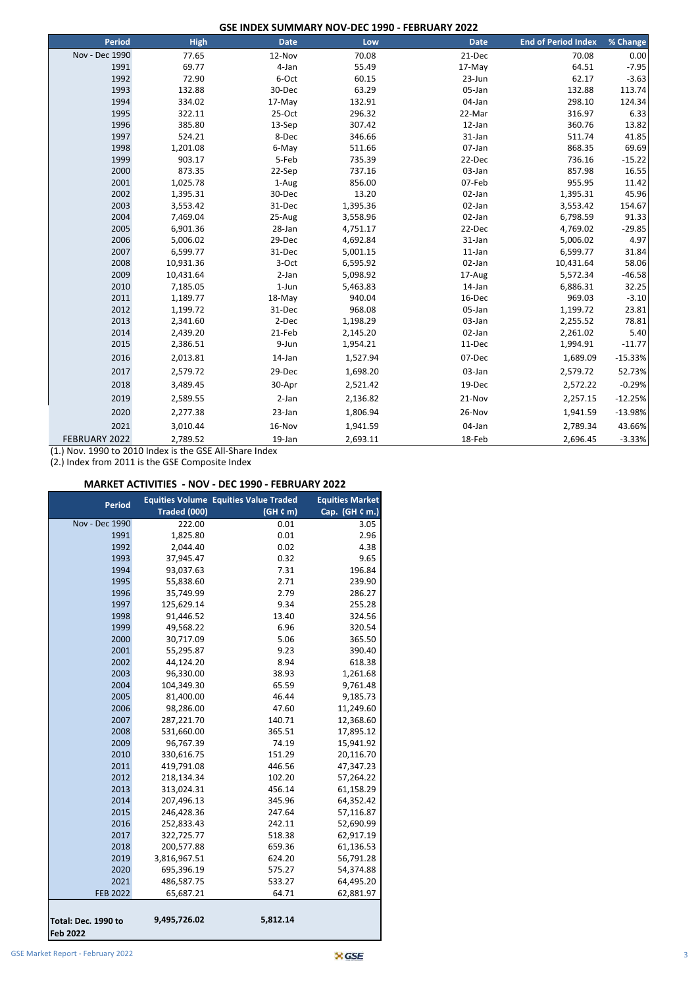**GSE INDEX SUMMARY NOV-DEC 1990 - FEBRUARY 2022**

| <b>Period</b>  | <b>High</b> | <b>Date</b> | Low      | <b>Date</b> | <b>End of Period Index</b> | % Change  |
|----------------|-------------|-------------|----------|-------------|----------------------------|-----------|
| Nov - Dec 1990 | 77.65       | 12-Nov      | 70.08    | 21-Dec      | 70.08                      | 0.00      |
| 1991           | 69.77       | 4-Jan       | 55.49    | 17-May      | 64.51                      | $-7.95$   |
| 1992           | 72.90       | 6-Oct       | 60.15    | 23-Jun      | 62.17                      | $-3.63$   |
| 1993           | 132.88      | 30-Dec      | 63.29    | 05-Jan      | 132.88                     | 113.74    |
| 1994           | 334.02      | 17-May      | 132.91   | 04-Jan      | 298.10                     | 124.34    |
| 1995           | 322.11      | $25-Oct$    | 296.32   | 22-Mar      | 316.97                     | 6.33      |
| 1996           | 385.80      | 13-Sep      | 307.42   | 12-Jan      | 360.76                     | 13.82     |
| 1997           | 524.21      | 8-Dec       | 346.66   | 31-Jan      | 511.74                     | 41.85     |
| 1998           | 1,201.08    | 6-May       | 511.66   | 07-Jan      | 868.35                     | 69.69     |
| 1999           | 903.17      | 5-Feb       | 735.39   | 22-Dec      | 736.16                     | $-15.22$  |
| 2000           | 873.35      | 22-Sep      | 737.16   | 03-Jan      | 857.98                     | 16.55     |
| 2001           | 1,025.78    | 1-Aug       | 856.00   | 07-Feb      | 955.95                     | 11.42     |
| 2002           | 1,395.31    | 30-Dec      | 13.20    | 02-Jan      | 1,395.31                   | 45.96     |
| 2003           | 3,553.42    | 31-Dec      | 1,395.36 | 02-Jan      | 3,553.42                   | 154.67    |
| 2004           | 7,469.04    | 25-Aug      | 3,558.96 | 02-Jan      | 6,798.59                   | 91.33     |
| 2005           | 6,901.36    | 28-Jan      | 4,751.17 | 22-Dec      | 4,769.02                   | $-29.85$  |
| 2006           | 5,006.02    | 29-Dec      | 4,692.84 | 31-Jan      | 5,006.02                   | 4.97      |
| 2007           | 6,599.77    | 31-Dec      | 5,001.15 | $11$ -Jan   | 6,599.77                   | 31.84     |
| 2008           | 10,931.36   | 3-Oct       | 6,595.92 | 02-Jan      | 10,431.64                  | 58.06     |
| 2009           | 10,431.64   | 2-Jan       | 5,098.92 | 17-Aug      | 5,572.34                   | $-46.58$  |
| 2010           | 7,185.05    | $1-Jun$     | 5,463.83 | 14-Jan      | 6,886.31                   | 32.25     |
| 2011           | 1,189.77    | 18-May      | 940.04   | 16-Dec      | 969.03                     | $-3.10$   |
| 2012           | 1,199.72    | 31-Dec      | 968.08   | 05-Jan      | 1,199.72                   | 23.81     |
| 2013           | 2,341.60    | 2-Dec       | 1,198.29 | 03-Jan      | 2,255.52                   | 78.81     |
| 2014           | 2,439.20    | 21-Feb      | 2,145.20 | 02-Jan      | 2,261.02                   | 5.40      |
| 2015           | 2,386.51    | 9-Jun       | 1,954.21 | 11-Dec      | 1,994.91                   | $-11.77$  |
| 2016           | 2,013.81    | 14-Jan      | 1,527.94 | 07-Dec      | 1,689.09                   | $-15.33%$ |
| 2017           | 2,579.72    | 29-Dec      | 1,698.20 | 03-Jan      | 2,579.72                   | 52.73%    |
| 2018           | 3,489.45    | 30-Apr      | 2,521.42 | 19-Dec      | 2,572.22                   | $-0.29%$  |
| 2019           | 2,589.55    | 2-Jan       | 2,136.82 | 21-Nov      | 2,257.15                   | $-12.25%$ |
| 2020           | 2,277.38    | 23-Jan      | 1,806.94 | 26-Nov      | 1,941.59                   | $-13.98%$ |
| 2021           | 3,010.44    | 16-Nov      | 1,941.59 | 04-Jan      | 2,789.34                   | 43.66%    |
| FEBRUARY 2022  | 2,789.52    | 19-Jan      | 2,693.11 | 18-Feb      | 2,696.45                   | $-3.33%$  |

(1.) Nov. 1990 to 2010 Index is the GSE All-Share Index

(2.) Index from 2011 is the GSE Composite Index

#### **MARKET ACTIVITIES - NOV - DEC 1990 - FEBRUARY 2022**

| <b>Period</b>                          |              | <b>Equities Volume Equities Value Traded</b> | <b>Equities Market</b> |
|----------------------------------------|--------------|----------------------------------------------|------------------------|
|                                        | Traded (000) | (GH C m)                                     | Cap. (GH ¢ m.)         |
| Nov - Dec 1990                         | 222.00       | 0.01                                         | 3.05                   |
| 1991                                   | 1,825.80     | 0.01                                         | 2.96                   |
| 1992                                   | 2,044.40     | 0.02                                         | 4.38                   |
| 1993                                   | 37,945.47    | 0.32                                         | 9.65                   |
| 1994                                   | 93,037.63    | 7.31                                         | 196.84                 |
| 1995                                   | 55,838.60    | 2.71                                         | 239.90                 |
| 1996                                   | 35,749.99    | 2.79                                         | 286.27                 |
| 1997                                   | 125,629.14   | 9.34                                         | 255.28                 |
| 1998                                   | 91,446.52    | 13.40                                        | 324.56                 |
| 1999                                   | 49,568.22    | 6.96                                         | 320.54                 |
| 2000                                   | 30,717.09    | 5.06                                         | 365.50                 |
| 2001                                   | 55,295.87    | 9.23                                         | 390.40                 |
| 2002                                   | 44,124.20    | 8.94                                         | 618.38                 |
| 2003                                   | 96,330.00    | 38.93                                        | 1,261.68               |
| 2004                                   | 104,349.30   | 65.59                                        | 9,761.48               |
| 2005                                   | 81,400.00    | 46.44                                        | 9,185.73               |
| 2006                                   | 98,286.00    | 47.60                                        | 11,249.60              |
| 2007                                   | 287,221.70   | 140.71                                       | 12,368.60              |
| 2008                                   | 531,660.00   | 365.51                                       | 17,895.12              |
| 2009                                   | 96,767.39    | 74.19                                        | 15,941.92              |
| 2010                                   | 330,616.75   | 151.29                                       | 20,116.70              |
| 2011                                   | 419,791.08   | 446.56                                       | 47,347.23              |
| 2012                                   | 218,134.34   | 102.20                                       | 57,264.22              |
| 2013                                   | 313,024.31   | 456.14                                       | 61,158.29              |
| 2014                                   | 207,496.13   | 345.96                                       | 64,352.42              |
| 2015                                   | 246,428.36   | 247.64                                       | 57,116.87              |
| 2016                                   | 252,833.43   | 242.11                                       | 52,690.99              |
| 2017                                   | 322,725.77   | 518.38                                       | 62,917.19              |
| 2018                                   | 200,577.88   | 659.36                                       | 61,136.53              |
| 2019                                   | 3,816,967.51 | 624.20                                       | 56,791.28              |
| 2020                                   | 695,396.19   | 575.27                                       | 54,374.88              |
| 2021                                   | 486,587.75   | 533.27                                       | 64,495.20              |
| <b>FEB 2022</b>                        | 65,687.21    | 64.71                                        | 62,881.97              |
| Total: Dec. 1990 to<br><b>Feb 2022</b> | 9,495,726.02 | 5,812.14                                     |                        |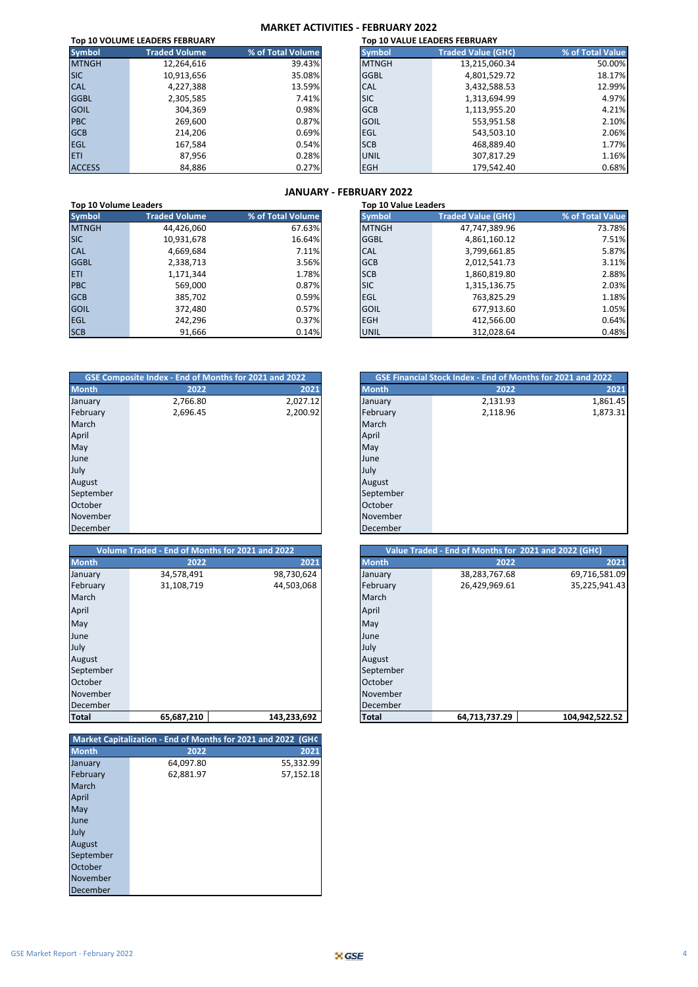#### **MARKET ACTIVITIES - FEBRUARY 2022**

| Top 10 VOLUME LEADERS FEBRUARY |                      |                   |               | <b>Top 10 VALUE LEADERS FEBRUARY</b> |                  |
|--------------------------------|----------------------|-------------------|---------------|--------------------------------------|------------------|
| <b>Symbol</b>                  | <b>Traded Volume</b> | % of Total Volume | <b>Symbol</b> | <b>Traded Value (GH¢)</b>            | % of Total Value |
| <b>MTNGH</b>                   | 12,264,616           | 39.43%            | <b>MTNGH</b>  | 13,215,060.34                        | 50.00%           |
| <b>SIC</b>                     | 10,913,656           | 35.08%            | <b>GGBL</b>   | 4,801,529.72                         | 18.17%           |
| <b>CAL</b>                     | 4,227,388            | 13.59%            | <b>CAL</b>    | 3,432,588.53                         | 12.99%           |
| <b>GGBL</b>                    | 2,305,585            | 7.41%             | <b>SIC</b>    | 1,313,694.99                         | 4.97%            |
| <b>GOIL</b>                    | 304,369              | 0.98%             | <b>GCB</b>    | 1,113,955.20                         | 4.21%            |
| <b>PBC</b>                     | 269,600              | 0.87%             | <b>GOIL</b>   | 553,951.58                           | 2.10%            |
| <b>GCB</b>                     | 214,206              | 0.69%             | <b>EGL</b>    | 543,503.10                           | 2.06%            |
| <b>EGL</b>                     | 167,584              | 0.54%             | <b>SCB</b>    | 468,889.40                           | 1.77%            |
| <b>ETI</b>                     | 87,956               | 0.28%             | UNIL          | 307,817.29                           | 1.16%            |
| <b>ACCESS</b>                  | 84,886               | 0.27%             | <b>EGH</b>    | 179,542.40                           | 0.68%            |

#### **JANUARY - FEBRUARY 2022**

|               | .<br>Top 10 Volume Leaders<br><b>Top 10 Value Leaders</b> |                   |               |                           |                  |  |
|---------------|-----------------------------------------------------------|-------------------|---------------|---------------------------|------------------|--|
| <b>Symbol</b> | <b>Traded Volume</b>                                      | % of Total Volume | <b>Symbol</b> | <b>Traded Value (GH¢)</b> | % of Total Value |  |
| <b>MTNGH</b>  | 44,426,060                                                | 67.63%            | <b>MTNGH</b>  | 47,747,389.96             | 73.78%           |  |
| <b>SIC</b>    | 10,931,678                                                | 16.64%            | <b>GGBL</b>   | 4,861,160.12              | 7.51%            |  |
| <b>CAL</b>    | 4,669,684                                                 | 7.11%             | <b>CAL</b>    | 3,799,661.85              | 5.87%            |  |
| <b>GGBL</b>   | 2,338,713                                                 | 3.56%             | <b>GCB</b>    | 2,012,541.73              | 3.11%            |  |
| <b>ETI</b>    | 1,171,344                                                 | 1.78%             | <b>SCB</b>    | 1,860,819.80              | 2.88%            |  |
| <b>PBC</b>    | 569,000                                                   | 0.87%             | <b>SIC</b>    | 1,315,136.75              | 2.03%            |  |
| <b>GCB</b>    | 385,702                                                   | 0.59%             | <b>EGL</b>    | 763,825.29                | 1.18%            |  |
| <b>GOIL</b>   | 372.480                                                   | 0.57%             | <b>GOIL</b>   | 677,913.60                | 1.05%            |  |
| <b>EGL</b>    | 242,296                                                   | 0.37%             | <b>EGH</b>    | 412,566.00                | 0.64%            |  |
| <b>SCB</b>    | 91,666                                                    | 0.14%             | <b>UNIL</b>   | 312,028.64                | 0.48%            |  |

| GSE Composite Index - End of Months for 2021 and 2022 |          |          |
|-------------------------------------------------------|----------|----------|
| <b>Month</b>                                          | 2022     | 2021     |
| January                                               | 2,766.80 | 2,027.12 |
| February                                              | 2,696.45 | 2,200.92 |
| March                                                 |          |          |
| April                                                 |          |          |
| May                                                   |          |          |
| June                                                  |          |          |
| July                                                  |          |          |
| August                                                |          |          |
| September                                             |          |          |
| October                                               |          |          |
| November                                              |          |          |
| December                                              |          |          |

| Volume Traded - End of Months for 2021 and 2022 |            |             | Value Traded - End of Months for 2021 and 2022 (GH¢) |               |                |
|-------------------------------------------------|------------|-------------|------------------------------------------------------|---------------|----------------|
| <b>Month</b>                                    | 2022       | 2021        | <b>Month</b>                                         | 2022          | 202            |
| January                                         | 34,578,491 | 98,730,624  | January                                              | 38,283,767.68 | 69,716,581.0   |
| February                                        | 31,108,719 | 44,503,068  | February                                             | 26,429,969.61 | 35,225,941.4   |
| March                                           |            |             | March                                                |               |                |
| April                                           |            |             | April                                                |               |                |
| May                                             |            |             | May                                                  |               |                |
| June                                            |            |             | June                                                 |               |                |
| July                                            |            |             | July                                                 |               |                |
| August                                          |            |             | August                                               |               |                |
| September                                       |            |             | September                                            |               |                |
| October                                         |            |             | October                                              |               |                |
| November                                        |            |             | November                                             |               |                |
| December                                        |            |             | December                                             |               |                |
| <b>Total</b>                                    | 65,687,210 | 143,233,692 | Total                                                | 64,713,737.29 | 104,942,522.52 |

|              | Market Capitalization - End of Months for 2021 and 2022 (GHC |           |
|--------------|--------------------------------------------------------------|-----------|
| <b>Month</b> | 2022                                                         | 2021      |
| January      | 64,097.80                                                    | 55,332.99 |
| February     | 62,881.97                                                    | 57,152.18 |
| March        |                                                              |           |
| April        |                                                              |           |
| May          |                                                              |           |
| June         |                                                              |           |
| July         |                                                              |           |
| August       |                                                              |           |
| September    |                                                              |           |
| October      |                                                              |           |
| November     |                                                              |           |
| December     |                                                              |           |

| GSE Composite Index - End of Months for 2021 and 2022 |          |          |
|-------------------------------------------------------|----------|----------|
| <b>Month</b>                                          | 2022     | 2021     |
| January                                               | 2,766.80 | 2,027.12 |
| February                                              | 2,696.45 | 2,200.92 |
| March                                                 |          |          |
| April                                                 |          |          |
| May                                                   |          |          |
| June                                                  |          |          |
| July                                                  |          |          |
| August                                                |          |          |
| September                                             |          |          |
| October                                               |          |          |
| November                                              |          |          |
| December                                              |          |          |

|              | Volume Traded - End of Months for 2021 and 2022 |             |
|--------------|-------------------------------------------------|-------------|
| <b>Month</b> | 2022                                            | 2021        |
| January      | 34,578,491                                      | 98,730,624  |
| February     | 31,108,719                                      | 44,503,068  |
| March        |                                                 |             |
| April        |                                                 |             |
| May          |                                                 |             |
| June         |                                                 |             |
| July         |                                                 |             |
| August       |                                                 |             |
| September    |                                                 |             |
| October      |                                                 |             |
| November     |                                                 |             |
| December     |                                                 |             |
| Total        | 65.687.210                                      | 143.233.692 |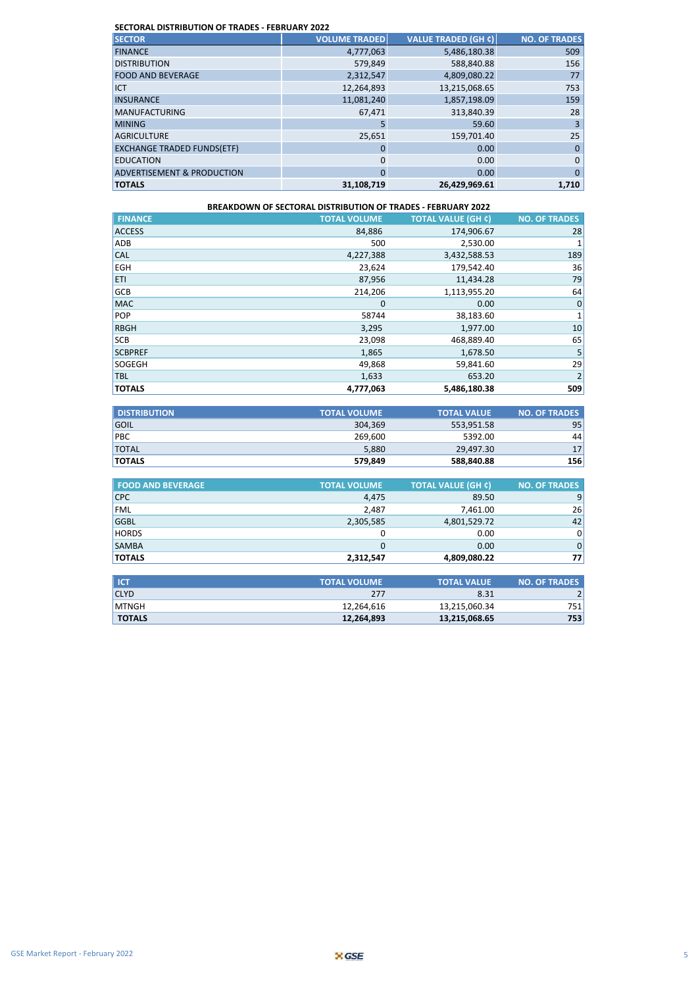#### **SECTORAL DISTRIBUTION OF TRADES - FEBRUARY 2022**

| <b>SECTOR</b>                         | <b>VOLUME TRADED</b> | <b>VALUE TRADED (GH ¢)</b> | <b>NO. OF TRADES</b> |
|---------------------------------------|----------------------|----------------------------|----------------------|
| <b>FINANCE</b>                        | 4,777,063            | 5,486,180.38               | 509                  |
| <b>DISTRIBUTION</b>                   | 579,849              | 588,840.88                 | 156                  |
| <b>FOOD AND BEVERAGE</b>              | 2,312,547            | 4,809,080.22               | 77                   |
| <b>ICT</b>                            | 12,264,893           | 13,215,068.65              | 753                  |
| <b>INSURANCE</b>                      | 11,081,240           | 1,857,198.09               | 159                  |
| <b>MANUFACTURING</b>                  | 67.471               | 313,840.39                 | 28                   |
| <b>MINING</b>                         | 5                    | 59.60                      | 3                    |
| <b>AGRICULTURE</b>                    | 25,651               | 159,701.40                 | 25                   |
| <b>EXCHANGE TRADED FUNDS(ETF)</b>     | 0                    | 0.00                       | $\mathbf 0$          |
| <b>EDUCATION</b>                      | 0                    | 0.00                       | $\mathbf 0$          |
| <b>ADVERTISEMENT &amp; PRODUCTION</b> | $\Omega$             | 0.00                       | $\Omega$             |
| <b>TOTALS</b>                         | 31,108,719           | 26,429,969.61              | 1,710                |

| <b>BREAKDOWN OF SECTORAL DISTRIBUTION OF TRADES - FEBRUARY 2022</b> |                     |                           |                      |  |
|---------------------------------------------------------------------|---------------------|---------------------------|----------------------|--|
| <b>FINANCE</b>                                                      | <b>TOTAL VOLUME</b> | <b>TOTAL VALUE (GH ¢)</b> | <b>NO. OF TRADES</b> |  |
| <b>ACCESS</b>                                                       | 84,886              | 174,906.67                | 28                   |  |
| ADB                                                                 | 500                 | 2,530.00                  |                      |  |
| <b>CAL</b>                                                          | 4,227,388           | 3,432,588.53              | 189                  |  |
| <b>EGH</b>                                                          | 23,624              | 179,542.40                | 36                   |  |
| <b>ETI</b>                                                          | 87,956              | 11,434.28                 | 79                   |  |
| <b>GCB</b>                                                          | 214,206             | 1,113,955.20              | 64                   |  |
| <b>MAC</b>                                                          | $\Omega$            | 0.00                      | $\mathbf 0$          |  |
| POP                                                                 | 58744               | 38,183.60                 | $\mathbf 1$          |  |
| <b>RBGH</b>                                                         | 3,295               | 1,977.00                  | 10                   |  |
| <b>SCB</b>                                                          | 23,098              | 468,889.40                | 65                   |  |
| <b>SCBPREF</b>                                                      | 1,865               | 1,678.50                  | 5                    |  |
| SOGEGH                                                              | 49,868              | 59,841.60                 | 29                   |  |
| <b>TBL</b>                                                          | 1,633               | 653.20                    | $\overline{2}$       |  |
| <b>TOTALS</b>                                                       | 4,777,063           | 5,486,180.38              | 509                  |  |

| <b>DISTRIBUTION</b> | <b>TOTAL VOLUME</b> | <b>TOTAL VALUE</b> | <b>NO. OF TRADES</b> |
|---------------------|---------------------|--------------------|----------------------|
| <b>GOIL</b>         | 304.369             | 553.951.58         | 95                   |
| <b>PBC</b>          | 269.600             | 5392.00            | 44                   |
| <b>TOTAL</b>        | 5.880               | 29.497.30          | 17 <sup>1</sup>      |
| <b>TOTALS</b>       | 579,849             | 588,840.88         | 156                  |

| <b>FOOD AND BEVERAGE</b> | <b>TOTAL VOLUME</b> | <b>TOTAL VALUE (GH ¢)</b> | <b>NO. OF TRADES</b> |
|--------------------------|---------------------|---------------------------|----------------------|
| <b>CPC</b>               | 4,475               | 89.50                     | 9                    |
| <b>FML</b>               | 2.487               | 7,461.00                  | <b>26</b>            |
| <b>GGBL</b>              | 2,305,585           | 4,801,529.72              | 42                   |
| <b>HORDS</b>             |                     | 0.00                      | $\overline{0}$       |
| <b>SAMBA</b>             |                     | 0.00                      | 0                    |
| <b>TOTALS</b>            | 2,312,547           | 4,809,080.22              | 77                   |

| l ICT         | <b>TOTAL VOLUME</b> | <b>TOTAL VALUE</b> | <b>NO. OF TRADES</b> |
|---------------|---------------------|--------------------|----------------------|
| <b>CLYD</b>   | 277                 | 8.31               |                      |
| <b>IMTNGH</b> | 12,264,616          | 13,215,060.34      | 751                  |
| <b>TOTALS</b> | 12,264,893          | 13,215,068.65      | 753                  |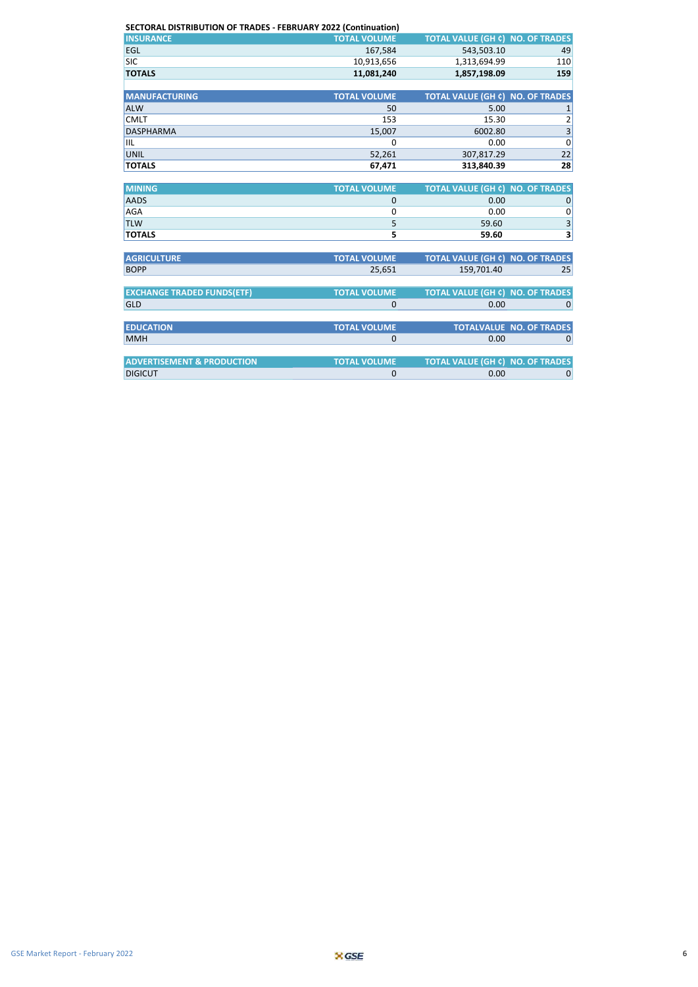| SECTORAL DISTRIBUTION OF TRADES - FEBRUARY 2022 (Continuation) |                     |                                         |                                 |  |  |
|----------------------------------------------------------------|---------------------|-----------------------------------------|---------------------------------|--|--|
| <b>INSURANCE</b>                                               | <b>TOTAL VOLUME</b> | <b>TOTAL VALUE (GH ¢) NO. OF TRADES</b> |                                 |  |  |
| EGL                                                            | 167,584             | 543,503.10                              | 49                              |  |  |
| <b>SIC</b>                                                     | 10,913,656          | 1,313,694.99                            | 110                             |  |  |
| <b>TOTALS</b>                                                  | 11,081,240          | 1,857,198.09                            | 159                             |  |  |
|                                                                |                     |                                         |                                 |  |  |
| <b>MANUFACTURING</b>                                           | <b>TOTAL VOLUME</b> | <b>TOTAL VALUE (GH ¢) NO. OF TRADES</b> |                                 |  |  |
| <b>ALW</b>                                                     | 50                  | 5.00                                    | $\mathbf 1$                     |  |  |
| <b>CMLT</b>                                                    | 153                 | 15.30                                   | 2                               |  |  |
| <b>DASPHARMA</b>                                               | 15,007              | 6002.80                                 | $\overline{\mathbf{3}}$         |  |  |
| IIL                                                            | 0                   | 0.00                                    | $\mathbf 0$                     |  |  |
| <b>UNIL</b>                                                    | 52,261              | 307,817.29                              | 22                              |  |  |
| <b>TOTALS</b>                                                  | 67,471              | 313,840.39                              | 28                              |  |  |
|                                                                |                     |                                         |                                 |  |  |
| <b>MINING</b>                                                  | <b>TOTAL VOLUME</b> | <b>TOTAL VALUE (GH ¢) NO. OF TRADES</b> |                                 |  |  |
| <b>AADS</b>                                                    | $\mathbf 0$         | 0.00                                    | $\mathbf 0$                     |  |  |
| AGA                                                            | 0                   | 0.00                                    | 0                               |  |  |
| <b>TLW</b>                                                     | 5                   | 59.60                                   | 3                               |  |  |
| <b>TOTALS</b>                                                  | 5                   | 59.60                                   | 3                               |  |  |
|                                                                |                     |                                         |                                 |  |  |
| <b>AGRICULTURE</b>                                             | <b>TOTAL VOLUME</b> | <b>TOTAL VALUE (GH ¢) NO. OF TRADES</b> |                                 |  |  |
| <b>BOPP</b>                                                    | 25,651              | 159.701.40                              | 25                              |  |  |
|                                                                |                     |                                         |                                 |  |  |
| <b>EXCHANGE TRADED FUNDS(ETF)</b>                              | <b>TOTAL VOLUME</b> | <b>TOTAL VALUE (GH ¢) NO. OF TRADES</b> |                                 |  |  |
| <b>GLD</b>                                                     | 0                   | 0.00                                    | $\mathbf 0$                     |  |  |
|                                                                |                     |                                         |                                 |  |  |
| <b>EDUCATION</b>                                               | <b>TOTAL VOLUME</b> |                                         | <b>TOTALVALUE NO. OF TRADES</b> |  |  |
| <b>MMH</b>                                                     | $\mathbf 0$         | 0.00                                    | $\mathbf 0$                     |  |  |
|                                                                |                     |                                         |                                 |  |  |
| <b>ADVERTISEMENT &amp; PRODUCTION</b>                          | <b>TOTAL VOLUME</b> | TOTAL VALUE (GH C) NO. OF TRADES        |                                 |  |  |
| <b>DIGICUT</b>                                                 | 0                   | 0.00                                    | $\mathbf 0$                     |  |  |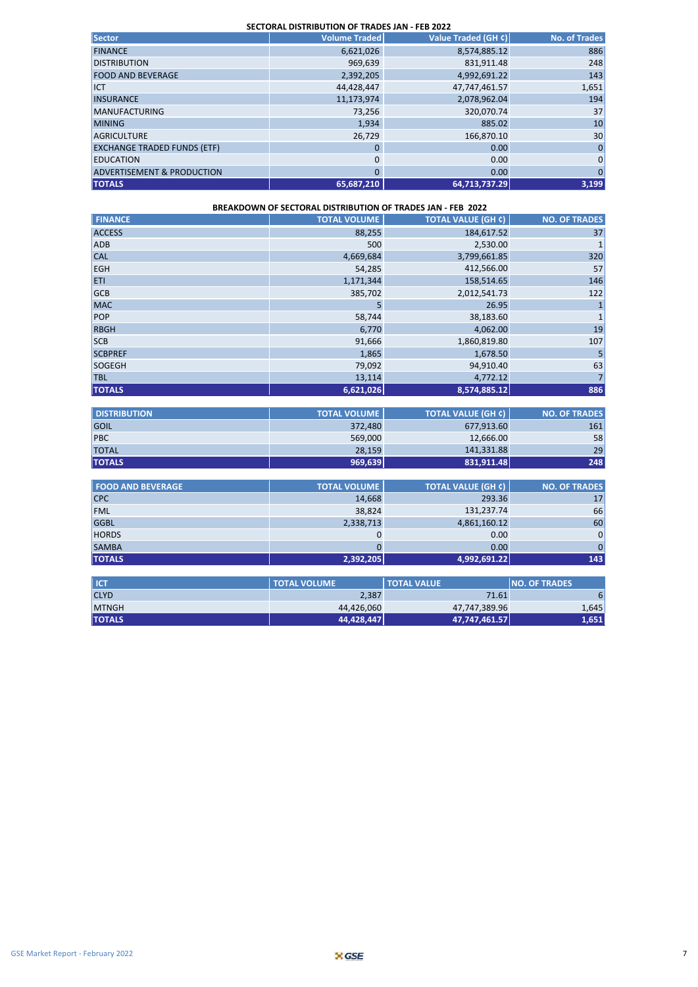| SECTORAL DISTRIBUTION OF TRADES JAN - FEB 2022 |                      |                     |                      |  |  |
|------------------------------------------------|----------------------|---------------------|----------------------|--|--|
| <b>Sector</b>                                  | <b>Volume Traded</b> | Value Traded (GH ¢) | <b>No. of Trades</b> |  |  |
| <b>FINANCE</b>                                 | 6,621,026            | 8,574,885.12        | 886                  |  |  |
| <b>DISTRIBUTION</b>                            | 969,639              | 831,911.48          | 248                  |  |  |
| <b>FOOD AND BEVERAGE</b>                       | 2,392,205            | 4,992,691.22        | 143                  |  |  |
| <b>ICT</b>                                     | 44,428,447           | 47,747,461.57       | 1,651                |  |  |
| <b>INSURANCE</b>                               | 11,173,974           | 2,078,962.04        | 194                  |  |  |
| <b>MANUFACTURING</b>                           | 73,256               | 320,070.74          | 37                   |  |  |
| <b>MINING</b>                                  | 1,934                | 885.02              | 10                   |  |  |
| <b>AGRICULTURE</b>                             | 26,729               | 166,870.10          | 30                   |  |  |
| <b>EXCHANGE TRADED FUNDS (ETF)</b>             | 0                    | 0.00                | 0                    |  |  |
| <b>EDUCATION</b>                               | 0                    | 0.00                | 0                    |  |  |
| <b>ADVERTISEMENT &amp; PRODUCTION</b>          | 0                    | 0.00                | 0                    |  |  |
| <b>TOTALS</b>                                  | 65,687,210           | 64,713,737.29       | 3,199                |  |  |

| <b>BREAKDOWN OF SECTORAL DISTRIBUTION OF TRADES JAN - FEB 2022</b> |                     |                           |                      |  |  |  |
|--------------------------------------------------------------------|---------------------|---------------------------|----------------------|--|--|--|
| <b>FINANCE</b>                                                     | <b>TOTAL VOLUME</b> | <b>TOTAL VALUE (GH ¢)</b> | <b>NO. OF TRADES</b> |  |  |  |
| <b>ACCESS</b>                                                      | 88,255              | 184,617.52                | 37                   |  |  |  |
| <b>ADB</b>                                                         | 500                 | 2,530.00                  | $\mathbf{1}$         |  |  |  |
| <b>CAL</b>                                                         | 4,669,684           | 3,799,661.85              | 320                  |  |  |  |
| <b>EGH</b>                                                         | 54,285              | 412,566.00                | 57                   |  |  |  |
| <b>ETI</b>                                                         | 1,171,344           | 158,514.65                | 146                  |  |  |  |
| <b>GCB</b>                                                         | 385,702             | 2,012,541.73              | 122                  |  |  |  |
| <b>MAC</b>                                                         | 5                   | 26.95                     | $1\vert$             |  |  |  |
| POP                                                                | 58,744              | 38,183.60                 | $\mathbf 1$          |  |  |  |
| <b>RBGH</b>                                                        | 6,770               | 4,062.00                  | 19                   |  |  |  |
| <b>SCB</b>                                                         | 91,666              | 1,860,819.80              | 107                  |  |  |  |
| <b>SCBPREF</b>                                                     | 1,865               | 1,678.50                  | 5                    |  |  |  |
| SOGEGH                                                             | 79,092              | 94,910.40                 | 63                   |  |  |  |
| <b>TBL</b>                                                         | 13,114              | 4,772.12                  | 7 <sup>1</sup>       |  |  |  |
| <b>TOTALS</b>                                                      | 6,621,026           | 8,574,885.12              | 886                  |  |  |  |
|                                                                    |                     |                           |                      |  |  |  |
| <b>DISTRIBUTION</b>                                                | <b>TOTAL VOLUME</b> | <b>TOTAL VALUE (GH ¢)</b> | <b>NO. OF TRADES</b> |  |  |  |
| GOIL                                                               | 372,480             | 677,913.60                | 161                  |  |  |  |
| <b>PBC</b>                                                         | 569,000             | 12,666.00                 | 58                   |  |  |  |
| <b>TOTAL</b>                                                       | 28,159              | 141,331.88                | 29                   |  |  |  |
| <b>TOTALS</b>                                                      | 969,639             | 831,911.48                | 248                  |  |  |  |
|                                                                    |                     |                           |                      |  |  |  |
| <b>FOOD AND BEVERAGE</b>                                           | <b>TOTAL VOLUME</b> | <b>TOTAL VALUE (GH ¢)</b> | <b>NO. OF TRADES</b> |  |  |  |
| <b>CPC</b>                                                         | 14.668              | 293.36                    | 17                   |  |  |  |

| <b>TOTALS</b> | 2,392,205 | 4,992,691.22 | 143 |
|---------------|-----------|--------------|-----|
| <b>SAMBA</b>  |           | 0.00         |     |
| <b>HORDS</b>  |           | 0.00         | 01  |
| <b>GGBL</b>   | 2,338,713 | 4,861,160.12 | 60  |
| <b>FML</b>    | 38,824    | 131,237.74   | 66  |
| <b>CPC</b>    | 14,668    | 293.36       | 17  |

| <b>ICT</b>    | <b>TOTAL VOLUME</b> | <b>TOTAL VALUE</b> | <b>NO. OF TRADES</b> |
|---------------|---------------------|--------------------|----------------------|
| <b>CLYD</b>   | 2,387               | 71.61              |                      |
| <b>MTNGH</b>  | 44,426,060          | 47,747,389.96      | 1,645                |
| <b>TOTALS</b> | 44,428,447          | 47,747,461.57      | 1,651                |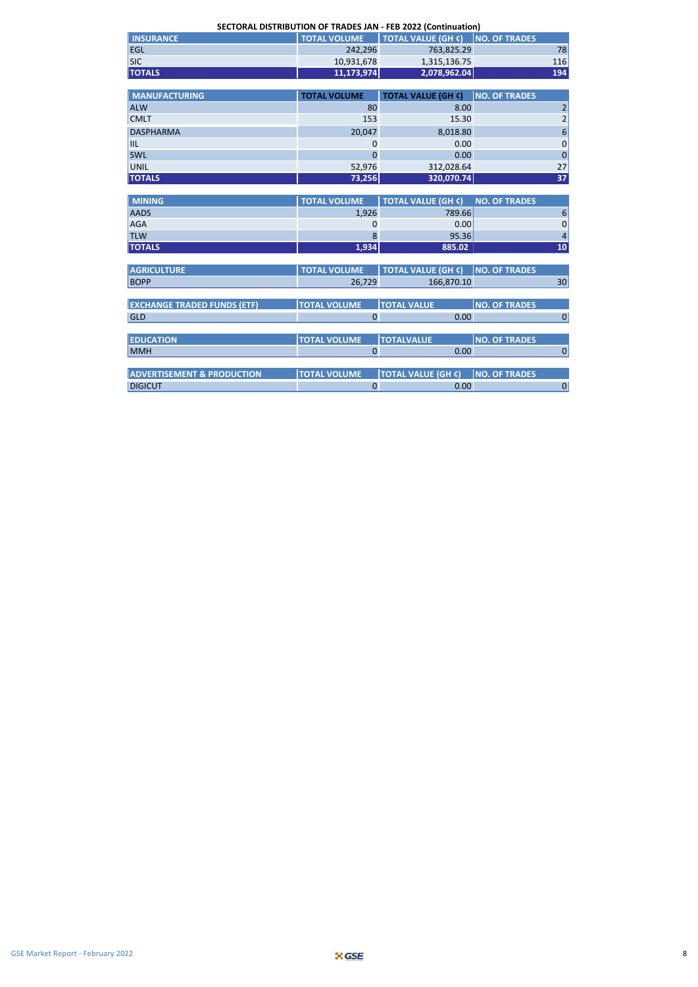**SECTORAL DISTRIBUTION OF TRADES JAN - FEB 2022 (Continuation)**

| <b>INSURANCE</b> | <b>TOTAL VOLUME</b> | LI TOTAL VALUE (GH ¢) NO. OF TRADES ! |     |  |  |
|------------------|---------------------|---------------------------------------|-----|--|--|
| <b>EGL</b>       | 242.296             | 763.825.29                            | 781 |  |  |
| <b>SIC</b>       | 10,931,678          | 1,315,136.75                          | 116 |  |  |
| <b>TOTALS</b>    | 11,173,974          | 2,078,962.04                          | 194 |  |  |

| <b>MANUFACTURING</b> | <b>TOTAL VOLUME</b> | <b>TOTAL VALUE (GH ¢)</b> | <b>NO. OF TRADES</b> |
|----------------------|---------------------|---------------------------|----------------------|
| <b>ALW</b>           | 80                  | 8.00                      | $\overline{2}$       |
| <b>CMLT</b>          | 153                 | 15.30                     | 2 <sup>1</sup>       |
| <b>DASPHARMA</b>     | 20,047              | 8,018.80                  | $6 \mid$             |
| IIIL                 | 0                   | 0.00                      | $\overline{0}$       |
| <b>SWL</b>           | 0                   | 0.00                      | 0                    |
| UNIL                 | 52,976              | 312,028.64                | 27                   |
| <b>TOTALS</b>        | 73,256              | 320,070.74                | 37                   |

| <b>MINING</b> | <b>TOTAL VOLUME</b> | TOTAL VALUE (GH ¢) NO. OF TRADES |    |
|---------------|---------------------|----------------------------------|----|
| <b>AADS</b>   | 1.926               | 789.66                           |    |
| <b>AGA</b>    |                     | 0.00                             |    |
| <b>TLW</b>    |                     | 95.36                            |    |
| <b>TOTALS</b> | 1,934               | 885.02                           | 10 |

| <b>AGRICULTURE</b>                    | <b>TOTAL VOLUME</b> | <b>TOTAL VALUE (GH ¢)</b> | <b>NO. OF TRADES</b> |
|---------------------------------------|---------------------|---------------------------|----------------------|
| <b>BOPP</b>                           | 26,729              | 166,870.10                | 30                   |
|                                       |                     |                           |                      |
| <b>EXCHANGE TRADED FUNDS (ETF)</b>    | <b>TOTAL VOLUME</b> | <b>TOTAL VALUE</b>        | <b>NO. OF TRADES</b> |
| GLD                                   | 0                   | 0.00                      | 0                    |
|                                       |                     |                           |                      |
| <b>EDUCATION</b>                      | <b>TOTAL VOLUME</b> | <b>TOTALVALUE</b>         | <b>NO. OF TRADES</b> |
| <b>MMH</b>                            |                     | 0.00                      |                      |
|                                       |                     |                           |                      |
| <b>ADVERTISEMENT &amp; PRODUCTION</b> | <b>TOTAL VOLUME</b> | <b>TOTAL VALUE (GH ¢)</b> | <b>NO. OF TRADES</b> |
| <b>DIGICUT</b>                        |                     | 0.00                      | 0                    |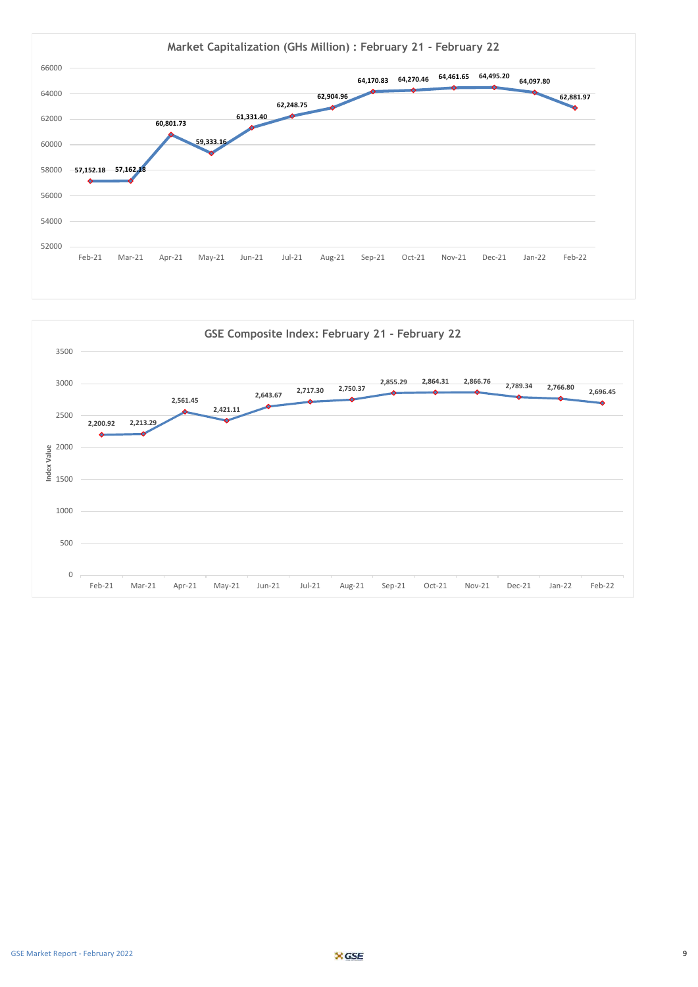

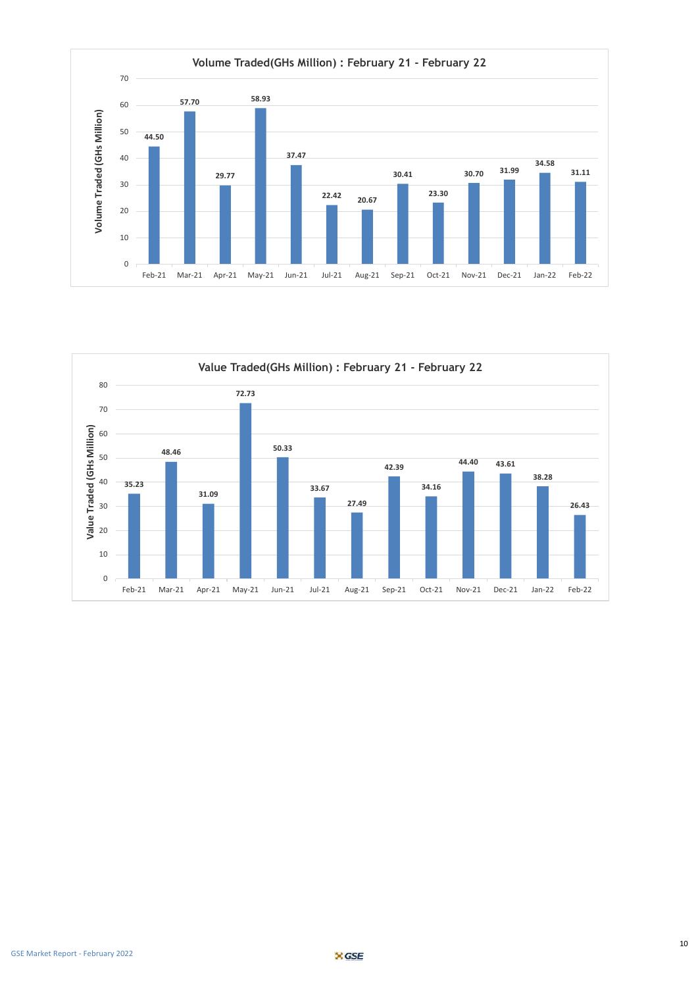

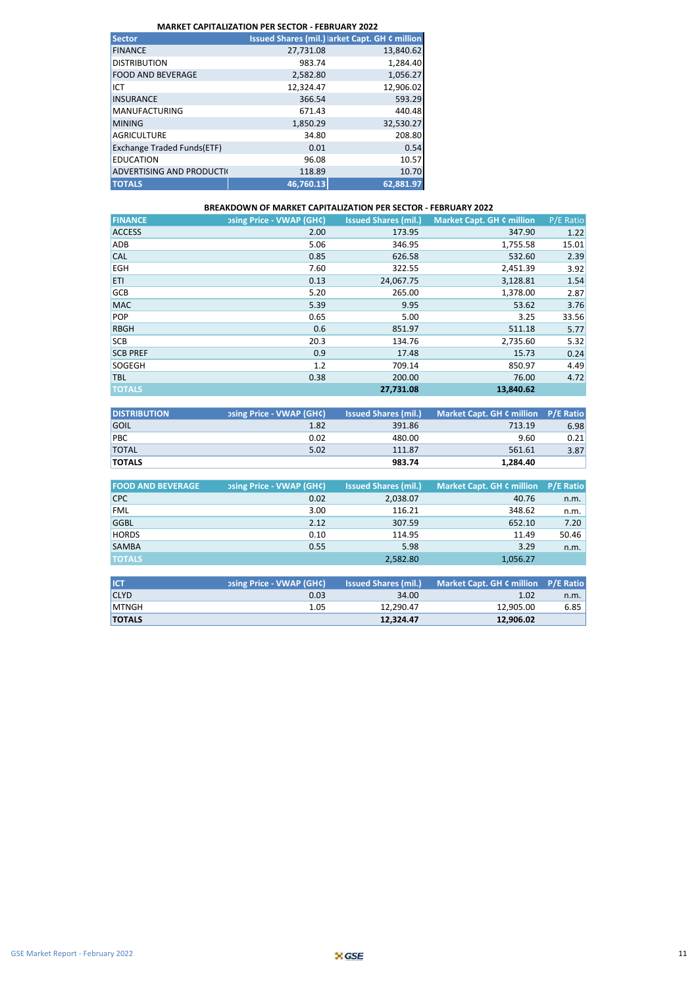| <b>Sector</b>                   |           | <b>Issued Shares (mil.) larket Capt. GH ¢ million</b> |
|---------------------------------|-----------|-------------------------------------------------------|
| <b>FINANCE</b>                  | 27,731.08 | 13,840.62                                             |
| <b>DISTRIBUTION</b>             | 983.74    | 1,284.40                                              |
| <b>FOOD AND BEVERAGE</b>        | 2,582.80  | 1,056.27                                              |
| ICT                             | 12,324.47 | 12,906.02                                             |
| <b>INSURANCE</b>                | 366.54    | 593.29                                                |
| <b>MANUFACTURING</b>            | 671.43    | 440.48                                                |
| <b>MINING</b>                   | 1,850.29  | 32,530.27                                             |
| <b>AGRICULTURE</b>              | 34.80     | 208.80                                                |
| Exchange Traded Funds(ETF)      | 0.01      | 0.54                                                  |
| <b>EDUCATION</b>                | 96.08     | 10.57                                                 |
| <b>ADVERTISING AND PRODUCTI</b> | 118.89    | 10.70                                                 |
| <b>TOTALS</b>                   | 46,760.13 | 62,881.97                                             |

#### **BREAKDOWN OF MARKET CAPITALIZATION PER SECTOR - FEBRUARY 2022**

| <b>FINANCE</b>  | <b>psing Price - VWAP (GH¢)</b> | <b>Issued Shares (mil.)</b> | <b>Market Capt. GH ¢ million</b> | P/E Ratio |
|-----------------|---------------------------------|-----------------------------|----------------------------------|-----------|
| <b>ACCESS</b>   | 2.00                            | 173.95                      | 347.90                           | 1.22      |
| <b>ADB</b>      | 5.06                            | 346.95                      | 1,755.58                         | 15.01     |
| <b>CAL</b>      | 0.85                            | 626.58                      | 532.60                           | 2.39      |
| <b>EGH</b>      | 7.60                            | 322.55                      | 2,451.39                         | 3.92      |
| <b>ETI</b>      | 0.13                            | 24,067.75                   | 3,128.81                         | 1.54      |
| <b>GCB</b>      | 5.20                            | 265.00                      | 1,378.00                         | 2.87      |
| <b>MAC</b>      | 5.39                            | 9.95                        | 53.62                            | 3.76      |
| <b>POP</b>      | 0.65                            | 5.00                        | 3.25                             | 33.56     |
| <b>RBGH</b>     | 0.6                             | 851.97                      | 511.18                           | 5.77      |
| <b>SCB</b>      | 20.3                            | 134.76                      | 2,735.60                         | 5.32      |
| <b>SCB PREF</b> | 0.9                             | 17.48                       | 15.73                            | 0.24      |
| <b>SOGEGH</b>   | 1.2                             | 709.14                      | 850.97                           | 4.49      |
| <b>TBL</b>      | 0.38                            | 200.00                      | 76.00                            | 4.72      |
| <b>TOTALS</b>   |                                 | 27.731.08                   | 13,840.62                        |           |

| <b>DISTRIBUTION</b> | psing Price - VWAP (GH¢) | <b>Issued Shares (mil.)</b> | Market Capt. GH ¢ million P/E Ratio |      |
|---------------------|--------------------------|-----------------------------|-------------------------------------|------|
| GOIL                | 1.82                     | 391.86                      | 713.19                              | 6.98 |
| PBC                 | 0.02                     | 480.00                      | 9.60                                | 0.21 |
| <b>TOTAL</b>        | 5.02                     | 111.87                      | 561.61                              | 3.87 |
| <b>TOTALS</b>       |                          | 983.74                      | 1.284.40                            |      |

| <b>FOOD AND BEVERAGE</b> | <b>psing Price - VWAP (GH¢)</b> | <b>Issued Shares (mil.)</b> | Market Capt. GH ¢ million P/E Ratio |       |
|--------------------------|---------------------------------|-----------------------------|-------------------------------------|-------|
| <b>CPC</b>               | 0.02                            | 2,038.07                    | 40.76                               | n.m.  |
| <b>FML</b>               | 3.00                            | 116.21                      | 348.62                              | n.m.  |
| <b>GGBL</b>              | 2.12                            | 307.59                      | 652.10                              | 7.20  |
| <b>HORDS</b>             | 0.10                            | 114.95                      | 11.49                               | 50.46 |
| <b>SAMBA</b>             | 0.55                            | 5.98                        | 3.29                                | n.m.  |
| <b>TOTALS</b>            |                                 | 2,582.80                    | 1,056.27                            |       |

| <b>ICT</b>    | psing Price - VWAP (GH¢) | <b>Issued Shares (mil.)</b> | Market Capt. GH ¢ million P/E Ratio |      |
|---------------|--------------------------|-----------------------------|-------------------------------------|------|
| <b>CLYD</b>   | 0.03                     | 34.00                       | 1.02                                | n.m. |
| <b>IMTNGH</b> | 1.05                     | 12.290.47                   | 12.905.00                           | 6.85 |
| <b>TOTALS</b> |                          | 12.324.47                   | 12.906.02                           |      |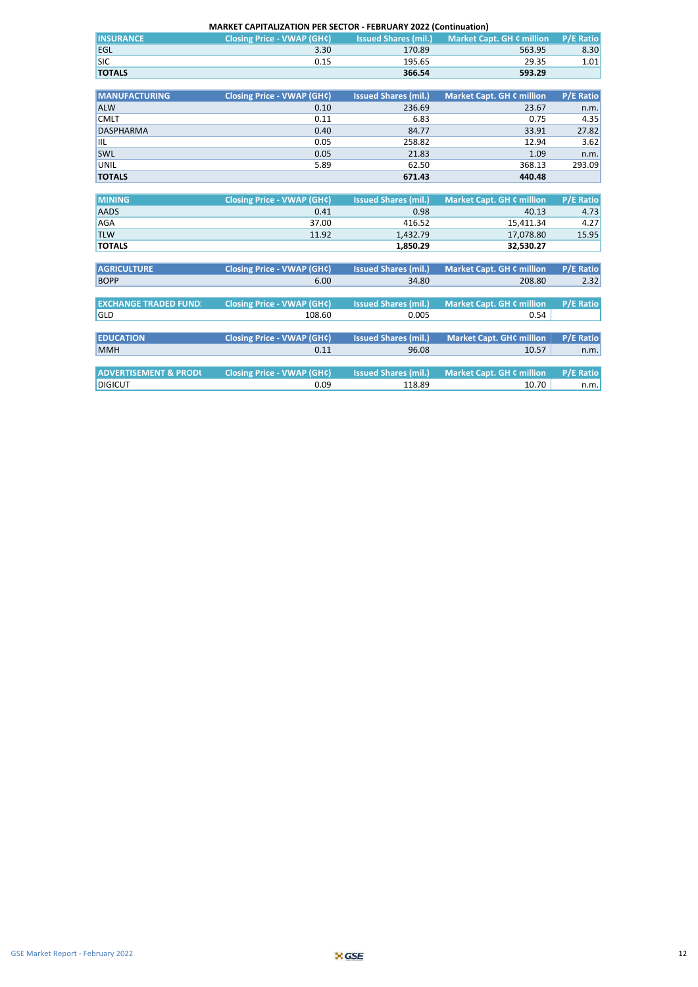| <b>MARKET CAPITALIZATION PER SECTOR - FEBRUARY 2022 (Continuation)</b> |                                   |                             |                                  |                  |  |  |  |
|------------------------------------------------------------------------|-----------------------------------|-----------------------------|----------------------------------|------------------|--|--|--|
| <b>INSURANCE</b>                                                       | <b>Closing Price - VWAP (GH¢)</b> | <b>Issued Shares (mil.)</b> | <b>Market Capt. GH ¢ million</b> | <b>P/E Ratio</b> |  |  |  |
| EGL                                                                    | 3.30                              | 170.89                      | 563.95                           | 8.30             |  |  |  |
| <b>SIC</b>                                                             | 0.15                              | 195.65                      | 29.35                            | 1.01             |  |  |  |
| <b>TOTALS</b>                                                          |                                   | 366.54                      | 593.29                           |                  |  |  |  |
|                                                                        |                                   |                             |                                  |                  |  |  |  |
| <b>MANUFACTURING</b>                                                   | <b>Closing Price - VWAP (GH¢)</b> | <b>Issued Shares (mil.)</b> | <b>Market Capt. GH ¢ million</b> | <b>P/E Ratio</b> |  |  |  |
| <b>ALW</b>                                                             | 0.10                              | 236.69                      | 23.67                            | n.m.             |  |  |  |
| <b>CMLT</b>                                                            | 0.11                              | 6.83                        | 0.75                             | 4.35             |  |  |  |
| <b>DASPHARMA</b>                                                       | 0.40                              | 84.77                       | 33.91                            | 27.82            |  |  |  |
| <b>IIL</b>                                                             | 0.05                              | 258.82                      | 12.94                            | 3.62             |  |  |  |
| SWL                                                                    | 0.05                              | 21.83                       | 1.09                             | n.m.             |  |  |  |
| <b>UNIL</b>                                                            | 5.89                              | 62.50                       | 368.13                           | 293.09           |  |  |  |
| <b>TOTALS</b>                                                          |                                   | 671.43                      | 440.48                           |                  |  |  |  |
|                                                                        |                                   |                             |                                  |                  |  |  |  |
| <b>MINING</b>                                                          | <b>Closing Price - VWAP (GH¢)</b> | <b>Issued Shares (mil.)</b> | <b>Market Capt. GH ¢ million</b> | <b>P/E Ratio</b> |  |  |  |
| <b>AADS</b>                                                            | 0.41                              | 0.98                        | 40.13                            | 4.73             |  |  |  |
| <b>AGA</b>                                                             | 37.00                             | 416.52                      | 15,411.34                        | 4.27             |  |  |  |
| <b>TLW</b>                                                             | 11.92                             | 1,432.79                    | 17,078.80                        | 15.95            |  |  |  |
| <b>TOTALS</b>                                                          |                                   | 1,850.29                    | 32,530.27                        |                  |  |  |  |
|                                                                        |                                   |                             |                                  |                  |  |  |  |
| <b>AGRICULTURE</b>                                                     | <b>Closing Price - VWAP (GH¢)</b> | <b>Issued Shares (mil.)</b> | <b>Market Capt. GH ¢ million</b> | <b>P/E Ratio</b> |  |  |  |
| <b>BOPP</b>                                                            | 6.00                              | 34.80                       | 208.80                           | 2.32             |  |  |  |
|                                                                        |                                   |                             |                                  |                  |  |  |  |
| <b>EXCHANGE TRADED FUND!</b>                                           | <b>Closing Price - VWAP (GH¢)</b> | <b>Issued Shares (mil.)</b> | <b>Market Capt. GH ¢ million</b> | <b>P/E Ratio</b> |  |  |  |
| GLD                                                                    | 108.60                            | 0.005                       | 0.54                             |                  |  |  |  |
|                                                                        |                                   |                             |                                  |                  |  |  |  |
| <b>EDUCATION</b>                                                       | <b>Closing Price - VWAP (GH¢)</b> | <b>Issued Shares (mil.)</b> | <b>Market Capt. GH¢ million</b>  | <b>P/E Ratio</b> |  |  |  |
| <b>MMH</b>                                                             | 0.11                              | 96.08                       | 10.57                            | n.m.             |  |  |  |
|                                                                        |                                   |                             |                                  |                  |  |  |  |
| <b>ADVERTISEMENT &amp; PRODL</b>                                       | <b>Closing Price - VWAP (GH¢)</b> | <b>Issued Shares (mil.)</b> | <b>Market Capt. GH ¢ million</b> | <b>P/E Ratio</b> |  |  |  |
| <b>DIGICUT</b>                                                         | 0.09                              | 118.89                      | 10.70                            | n.m.             |  |  |  |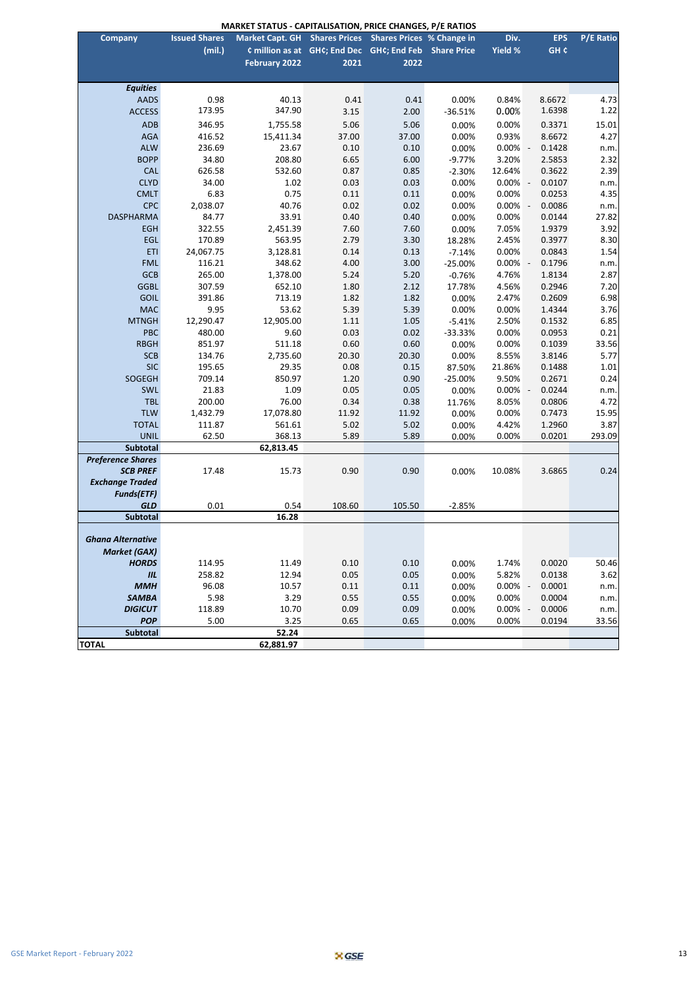| <b>MARKET STATUS - CAPITALISATION, PRICE CHANGES, P/E RATIOS</b> |  |
|------------------------------------------------------------------|--|
|------------------------------------------------------------------|--|

| <b>Issued Shares</b><br>Market Capt. GH Shares Prices Shares Prices % Change in<br>Div.<br><b>Company</b><br>(mil.)<br>Yield %<br>GH <sub>c</sub><br>¢ million as at GH¢; End Dec GH¢; End Feb Share Price<br><b>February 2022</b><br>2021<br>2022<br><b>Equities</b><br><b>AADS</b><br>0.98<br>40.13<br>4.73<br>0.41<br>0.41<br>0.00%<br>0.84%<br>8.6672<br>1.22<br>173.95<br>347.90<br>1.6398<br>$-36.51%$<br>0.00%<br><b>ACCESS</b><br>3.15<br>2.00<br>5.06<br>5.06<br>15.01<br><b>ADB</b><br>346.95<br>1,755.58<br>0.00%<br>0.3371<br>0.00%<br>4.27<br><b>AGA</b><br>37.00<br>37.00<br>0.93%<br>8.6672<br>416.52<br>15,411.34<br>0.00%<br><b>ALW</b><br>236.69<br>23.67<br>0.10<br>0.10<br>0.00%<br>0.1428<br>0.00%<br>n.m.<br>2.32<br><b>BOPP</b><br>34.80<br>208.80<br>6.65<br>6.00<br>3.20%<br>2.5853<br>$-9.77%$<br>0.85<br>2.39<br><b>CAL</b><br>626.58<br>532.60<br>0.87<br>12.64%<br>0.3622<br>$-2.30%$<br><b>CLYD</b><br>34.00<br>1.02<br>0.03<br>0.03<br>0.00%<br>0.0107<br>n.m.<br>0.00%<br>0.75<br>4.35<br><b>CMLT</b><br>6.83<br>0.11<br>0.11<br>0.00%<br>0.0253<br>0.00%<br><b>CPC</b><br>2,038.07<br>40.76<br>0.02<br>0.02<br>0.00%<br>0.0086<br>0.00%<br>n.m.<br>27.82<br><b>DASPHARMA</b><br>33.91<br>0.40<br>0.40<br>0.0144<br>84.77<br>0.00%<br>0.00%<br><b>EGH</b><br>322.55<br>2,451.39<br>7.60<br>7.60<br>7.05%<br>1.9379<br>3.92<br>0.00%<br>2.79<br>8.30<br>EGL<br>170.89<br>563.95<br>3.30<br>2.45%<br>0.3977<br>18.28%<br>1.54<br><b>ETI</b><br>24,067.75<br>3,128.81<br>0.14<br>0.13<br>0.00%<br>0.0843<br>$-7.14%$<br><b>FML</b><br>4.00<br>3.00<br>116.21<br>348.62<br>$-25.00%$<br>0.00%<br>0.1796<br>n.m.<br><b>GCB</b><br>5.24<br>2.87<br>265.00<br>1,378.00<br>5.20<br>4.76%<br>1.8134<br>$-0.76%$<br>7.20<br><b>GGBL</b><br>307.59<br>652.10<br>1.80<br>2.12<br>4.56%<br>0.2946<br>17.78%<br>6.98<br><b>GOIL</b><br>391.86<br>713.19<br>1.82<br>1.82<br>2.47%<br>0.2609<br>0.00%<br>3.76<br><b>MAC</b><br>9.95<br>53.62<br>5.39<br>5.39<br>0.00%<br>1.4344<br>0.00%<br>6.85<br><b>MTNGH</b><br>12,290.47<br>12,905.00<br>1.11<br>1.05<br>2.50%<br>0.1532<br>$-5.41%$<br>0.21<br>PBC<br>480.00<br>9.60<br>0.03<br>0.02<br>0.00%<br>0.0953<br>$-33.33%$<br><b>RBGH</b><br>0.60<br>0.60<br>0.1039<br>33.56<br>851.97<br>511.18<br>0.00%<br>0.00%<br><b>SCB</b><br>134.76<br>2,735.60<br>20.30<br>20.30<br>8.55%<br>3.8146<br>5.77<br>0.00%<br><b>SIC</b><br>1.01<br>195.65<br>29.35<br>0.08<br>0.15<br>21.86%<br>0.1488<br>87.50%<br>SOGEGH<br>1.20<br>0.24<br>709.14<br>850.97<br>0.90<br>9.50%<br>0.2671<br>$-25.00%$<br>21.83<br>1.09<br>0.05<br>0.05<br>0.0244<br>SWL<br>0.00%<br>0.00%<br>n.m.<br>$\overline{\phantom{a}}$<br>4.72<br><b>TBL</b><br>200.00<br>76.00<br>0.34<br>0.38<br>0.0806<br>8.05%<br>11.76%<br>15.95<br><b>TLW</b><br>1,432.79<br>17,078.80<br>11.92<br>11.92<br>0.00%<br>0.7473<br>0.00%<br><b>TOTAL</b><br>3.87<br>111.87<br>561.61<br>5.02<br>5.02<br>0.00%<br>4.42%<br>1.2960<br><b>UNIL</b><br>368.13<br>5.89<br>5.89<br>293.09<br>62.50<br>0.00%<br>0.0201<br>0.00%<br>Subtotal<br>62,813.45<br><b>Preference Shares</b><br><b>SCB PREF</b><br>17.48<br>0.90<br>0.90<br>10.08%<br>0.24<br>15.73<br>0.00%<br>3.6865<br><b>Exchange Traded</b><br><b>Funds(ETF)</b><br><b>GLD</b><br>0.01<br>0.54<br>108.60<br>105.50<br>$-2.85%$<br>16.28<br><b>Subtotal</b><br><b>Ghana Alternative</b><br>Market (GAX)<br><b>HORDS</b><br>114.95<br>11.49<br>0.10<br>0.10<br>1.74%<br>0.0020<br>50.46<br>0.00%<br>258.82<br>12.94<br>0.05<br>0.05<br>5.82%<br>0.0138<br>3.62<br><b>IIL</b><br>0.00%<br>96.08<br>10.57<br>0.11<br>0.11<br><b>MMH</b><br>0.00%<br>0.00%<br>0.0001<br>n.m.<br><b>SAMBA</b><br>5.98<br>3.29<br>0.55<br>0.55<br>0.00%<br>0.0004<br>0.00%<br>n.m.<br><b>DIGICUT</b><br>10.70<br>0.09<br>118.89<br>0.09<br>0.00%<br>0.00%<br>0.0006<br>n.m.<br>$\sim$<br><b>POP</b><br>3.25<br>0.65<br>5.00<br>0.65<br>0.00%<br>0.00%<br>0.0194<br>33.56 |              | <b>MARKET STATUS - CAPITALISATION, PRICE CHANGES, P/E RATIOS</b> |       |  |  |  |  |            |                  |
|----------------------------------------------------------------------------------------------------------------------------------------------------------------------------------------------------------------------------------------------------------------------------------------------------------------------------------------------------------------------------------------------------------------------------------------------------------------------------------------------------------------------------------------------------------------------------------------------------------------------------------------------------------------------------------------------------------------------------------------------------------------------------------------------------------------------------------------------------------------------------------------------------------------------------------------------------------------------------------------------------------------------------------------------------------------------------------------------------------------------------------------------------------------------------------------------------------------------------------------------------------------------------------------------------------------------------------------------------------------------------------------------------------------------------------------------------------------------------------------------------------------------------------------------------------------------------------------------------------------------------------------------------------------------------------------------------------------------------------------------------------------------------------------------------------------------------------------------------------------------------------------------------------------------------------------------------------------------------------------------------------------------------------------------------------------------------------------------------------------------------------------------------------------------------------------------------------------------------------------------------------------------------------------------------------------------------------------------------------------------------------------------------------------------------------------------------------------------------------------------------------------------------------------------------------------------------------------------------------------------------------------------------------------------------------------------------------------------------------------------------------------------------------------------------------------------------------------------------------------------------------------------------------------------------------------------------------------------------------------------------------------------------------------------------------------------------------------------------------------------------------------------------------------------------------------------------------------------------------------------------------------------------------------------------------------------------------------------------------------------------------------------------------------------------------------------------------------------------------------------------------------------------------------------------------------------------------------------------------------------------------------------------------------------------------------------------------------------------------------------------------------------------------------------------------------------------------------------------------------------------------------------------------------------|--------------|------------------------------------------------------------------|-------|--|--|--|--|------------|------------------|
|                                                                                                                                                                                                                                                                                                                                                                                                                                                                                                                                                                                                                                                                                                                                                                                                                                                                                                                                                                                                                                                                                                                                                                                                                                                                                                                                                                                                                                                                                                                                                                                                                                                                                                                                                                                                                                                                                                                                                                                                                                                                                                                                                                                                                                                                                                                                                                                                                                                                                                                                                                                                                                                                                                                                                                                                                                                                                                                                                                                                                                                                                                                                                                                                                                                                                                                                                                                                                                                                                                                                                                                                                                                                                                                                                                                                                                                                                                                      |              |                                                                  |       |  |  |  |  | <b>EPS</b> | <b>P/E Ratio</b> |
|                                                                                                                                                                                                                                                                                                                                                                                                                                                                                                                                                                                                                                                                                                                                                                                                                                                                                                                                                                                                                                                                                                                                                                                                                                                                                                                                                                                                                                                                                                                                                                                                                                                                                                                                                                                                                                                                                                                                                                                                                                                                                                                                                                                                                                                                                                                                                                                                                                                                                                                                                                                                                                                                                                                                                                                                                                                                                                                                                                                                                                                                                                                                                                                                                                                                                                                                                                                                                                                                                                                                                                                                                                                                                                                                                                                                                                                                                                                      |              |                                                                  |       |  |  |  |  |            |                  |
|                                                                                                                                                                                                                                                                                                                                                                                                                                                                                                                                                                                                                                                                                                                                                                                                                                                                                                                                                                                                                                                                                                                                                                                                                                                                                                                                                                                                                                                                                                                                                                                                                                                                                                                                                                                                                                                                                                                                                                                                                                                                                                                                                                                                                                                                                                                                                                                                                                                                                                                                                                                                                                                                                                                                                                                                                                                                                                                                                                                                                                                                                                                                                                                                                                                                                                                                                                                                                                                                                                                                                                                                                                                                                                                                                                                                                                                                                                                      |              |                                                                  |       |  |  |  |  |            |                  |
|                                                                                                                                                                                                                                                                                                                                                                                                                                                                                                                                                                                                                                                                                                                                                                                                                                                                                                                                                                                                                                                                                                                                                                                                                                                                                                                                                                                                                                                                                                                                                                                                                                                                                                                                                                                                                                                                                                                                                                                                                                                                                                                                                                                                                                                                                                                                                                                                                                                                                                                                                                                                                                                                                                                                                                                                                                                                                                                                                                                                                                                                                                                                                                                                                                                                                                                                                                                                                                                                                                                                                                                                                                                                                                                                                                                                                                                                                                                      |              |                                                                  |       |  |  |  |  |            |                  |
|                                                                                                                                                                                                                                                                                                                                                                                                                                                                                                                                                                                                                                                                                                                                                                                                                                                                                                                                                                                                                                                                                                                                                                                                                                                                                                                                                                                                                                                                                                                                                                                                                                                                                                                                                                                                                                                                                                                                                                                                                                                                                                                                                                                                                                                                                                                                                                                                                                                                                                                                                                                                                                                                                                                                                                                                                                                                                                                                                                                                                                                                                                                                                                                                                                                                                                                                                                                                                                                                                                                                                                                                                                                                                                                                                                                                                                                                                                                      |              |                                                                  |       |  |  |  |  |            |                  |
|                                                                                                                                                                                                                                                                                                                                                                                                                                                                                                                                                                                                                                                                                                                                                                                                                                                                                                                                                                                                                                                                                                                                                                                                                                                                                                                                                                                                                                                                                                                                                                                                                                                                                                                                                                                                                                                                                                                                                                                                                                                                                                                                                                                                                                                                                                                                                                                                                                                                                                                                                                                                                                                                                                                                                                                                                                                                                                                                                                                                                                                                                                                                                                                                                                                                                                                                                                                                                                                                                                                                                                                                                                                                                                                                                                                                                                                                                                                      |              |                                                                  |       |  |  |  |  |            |                  |
|                                                                                                                                                                                                                                                                                                                                                                                                                                                                                                                                                                                                                                                                                                                                                                                                                                                                                                                                                                                                                                                                                                                                                                                                                                                                                                                                                                                                                                                                                                                                                                                                                                                                                                                                                                                                                                                                                                                                                                                                                                                                                                                                                                                                                                                                                                                                                                                                                                                                                                                                                                                                                                                                                                                                                                                                                                                                                                                                                                                                                                                                                                                                                                                                                                                                                                                                                                                                                                                                                                                                                                                                                                                                                                                                                                                                                                                                                                                      |              |                                                                  |       |  |  |  |  |            |                  |
|                                                                                                                                                                                                                                                                                                                                                                                                                                                                                                                                                                                                                                                                                                                                                                                                                                                                                                                                                                                                                                                                                                                                                                                                                                                                                                                                                                                                                                                                                                                                                                                                                                                                                                                                                                                                                                                                                                                                                                                                                                                                                                                                                                                                                                                                                                                                                                                                                                                                                                                                                                                                                                                                                                                                                                                                                                                                                                                                                                                                                                                                                                                                                                                                                                                                                                                                                                                                                                                                                                                                                                                                                                                                                                                                                                                                                                                                                                                      |              |                                                                  |       |  |  |  |  |            |                  |
|                                                                                                                                                                                                                                                                                                                                                                                                                                                                                                                                                                                                                                                                                                                                                                                                                                                                                                                                                                                                                                                                                                                                                                                                                                                                                                                                                                                                                                                                                                                                                                                                                                                                                                                                                                                                                                                                                                                                                                                                                                                                                                                                                                                                                                                                                                                                                                                                                                                                                                                                                                                                                                                                                                                                                                                                                                                                                                                                                                                                                                                                                                                                                                                                                                                                                                                                                                                                                                                                                                                                                                                                                                                                                                                                                                                                                                                                                                                      |              |                                                                  |       |  |  |  |  |            |                  |
|                                                                                                                                                                                                                                                                                                                                                                                                                                                                                                                                                                                                                                                                                                                                                                                                                                                                                                                                                                                                                                                                                                                                                                                                                                                                                                                                                                                                                                                                                                                                                                                                                                                                                                                                                                                                                                                                                                                                                                                                                                                                                                                                                                                                                                                                                                                                                                                                                                                                                                                                                                                                                                                                                                                                                                                                                                                                                                                                                                                                                                                                                                                                                                                                                                                                                                                                                                                                                                                                                                                                                                                                                                                                                                                                                                                                                                                                                                                      |              |                                                                  |       |  |  |  |  |            |                  |
|                                                                                                                                                                                                                                                                                                                                                                                                                                                                                                                                                                                                                                                                                                                                                                                                                                                                                                                                                                                                                                                                                                                                                                                                                                                                                                                                                                                                                                                                                                                                                                                                                                                                                                                                                                                                                                                                                                                                                                                                                                                                                                                                                                                                                                                                                                                                                                                                                                                                                                                                                                                                                                                                                                                                                                                                                                                                                                                                                                                                                                                                                                                                                                                                                                                                                                                                                                                                                                                                                                                                                                                                                                                                                                                                                                                                                                                                                                                      |              |                                                                  |       |  |  |  |  |            |                  |
|                                                                                                                                                                                                                                                                                                                                                                                                                                                                                                                                                                                                                                                                                                                                                                                                                                                                                                                                                                                                                                                                                                                                                                                                                                                                                                                                                                                                                                                                                                                                                                                                                                                                                                                                                                                                                                                                                                                                                                                                                                                                                                                                                                                                                                                                                                                                                                                                                                                                                                                                                                                                                                                                                                                                                                                                                                                                                                                                                                                                                                                                                                                                                                                                                                                                                                                                                                                                                                                                                                                                                                                                                                                                                                                                                                                                                                                                                                                      |              |                                                                  |       |  |  |  |  |            |                  |
|                                                                                                                                                                                                                                                                                                                                                                                                                                                                                                                                                                                                                                                                                                                                                                                                                                                                                                                                                                                                                                                                                                                                                                                                                                                                                                                                                                                                                                                                                                                                                                                                                                                                                                                                                                                                                                                                                                                                                                                                                                                                                                                                                                                                                                                                                                                                                                                                                                                                                                                                                                                                                                                                                                                                                                                                                                                                                                                                                                                                                                                                                                                                                                                                                                                                                                                                                                                                                                                                                                                                                                                                                                                                                                                                                                                                                                                                                                                      |              |                                                                  |       |  |  |  |  |            |                  |
|                                                                                                                                                                                                                                                                                                                                                                                                                                                                                                                                                                                                                                                                                                                                                                                                                                                                                                                                                                                                                                                                                                                                                                                                                                                                                                                                                                                                                                                                                                                                                                                                                                                                                                                                                                                                                                                                                                                                                                                                                                                                                                                                                                                                                                                                                                                                                                                                                                                                                                                                                                                                                                                                                                                                                                                                                                                                                                                                                                                                                                                                                                                                                                                                                                                                                                                                                                                                                                                                                                                                                                                                                                                                                                                                                                                                                                                                                                                      |              |                                                                  |       |  |  |  |  |            |                  |
|                                                                                                                                                                                                                                                                                                                                                                                                                                                                                                                                                                                                                                                                                                                                                                                                                                                                                                                                                                                                                                                                                                                                                                                                                                                                                                                                                                                                                                                                                                                                                                                                                                                                                                                                                                                                                                                                                                                                                                                                                                                                                                                                                                                                                                                                                                                                                                                                                                                                                                                                                                                                                                                                                                                                                                                                                                                                                                                                                                                                                                                                                                                                                                                                                                                                                                                                                                                                                                                                                                                                                                                                                                                                                                                                                                                                                                                                                                                      |              |                                                                  |       |  |  |  |  |            |                  |
|                                                                                                                                                                                                                                                                                                                                                                                                                                                                                                                                                                                                                                                                                                                                                                                                                                                                                                                                                                                                                                                                                                                                                                                                                                                                                                                                                                                                                                                                                                                                                                                                                                                                                                                                                                                                                                                                                                                                                                                                                                                                                                                                                                                                                                                                                                                                                                                                                                                                                                                                                                                                                                                                                                                                                                                                                                                                                                                                                                                                                                                                                                                                                                                                                                                                                                                                                                                                                                                                                                                                                                                                                                                                                                                                                                                                                                                                                                                      |              |                                                                  |       |  |  |  |  |            |                  |
|                                                                                                                                                                                                                                                                                                                                                                                                                                                                                                                                                                                                                                                                                                                                                                                                                                                                                                                                                                                                                                                                                                                                                                                                                                                                                                                                                                                                                                                                                                                                                                                                                                                                                                                                                                                                                                                                                                                                                                                                                                                                                                                                                                                                                                                                                                                                                                                                                                                                                                                                                                                                                                                                                                                                                                                                                                                                                                                                                                                                                                                                                                                                                                                                                                                                                                                                                                                                                                                                                                                                                                                                                                                                                                                                                                                                                                                                                                                      |              |                                                                  |       |  |  |  |  |            |                  |
|                                                                                                                                                                                                                                                                                                                                                                                                                                                                                                                                                                                                                                                                                                                                                                                                                                                                                                                                                                                                                                                                                                                                                                                                                                                                                                                                                                                                                                                                                                                                                                                                                                                                                                                                                                                                                                                                                                                                                                                                                                                                                                                                                                                                                                                                                                                                                                                                                                                                                                                                                                                                                                                                                                                                                                                                                                                                                                                                                                                                                                                                                                                                                                                                                                                                                                                                                                                                                                                                                                                                                                                                                                                                                                                                                                                                                                                                                                                      |              |                                                                  |       |  |  |  |  |            |                  |
|                                                                                                                                                                                                                                                                                                                                                                                                                                                                                                                                                                                                                                                                                                                                                                                                                                                                                                                                                                                                                                                                                                                                                                                                                                                                                                                                                                                                                                                                                                                                                                                                                                                                                                                                                                                                                                                                                                                                                                                                                                                                                                                                                                                                                                                                                                                                                                                                                                                                                                                                                                                                                                                                                                                                                                                                                                                                                                                                                                                                                                                                                                                                                                                                                                                                                                                                                                                                                                                                                                                                                                                                                                                                                                                                                                                                                                                                                                                      |              |                                                                  |       |  |  |  |  |            |                  |
|                                                                                                                                                                                                                                                                                                                                                                                                                                                                                                                                                                                                                                                                                                                                                                                                                                                                                                                                                                                                                                                                                                                                                                                                                                                                                                                                                                                                                                                                                                                                                                                                                                                                                                                                                                                                                                                                                                                                                                                                                                                                                                                                                                                                                                                                                                                                                                                                                                                                                                                                                                                                                                                                                                                                                                                                                                                                                                                                                                                                                                                                                                                                                                                                                                                                                                                                                                                                                                                                                                                                                                                                                                                                                                                                                                                                                                                                                                                      |              |                                                                  |       |  |  |  |  |            |                  |
|                                                                                                                                                                                                                                                                                                                                                                                                                                                                                                                                                                                                                                                                                                                                                                                                                                                                                                                                                                                                                                                                                                                                                                                                                                                                                                                                                                                                                                                                                                                                                                                                                                                                                                                                                                                                                                                                                                                                                                                                                                                                                                                                                                                                                                                                                                                                                                                                                                                                                                                                                                                                                                                                                                                                                                                                                                                                                                                                                                                                                                                                                                                                                                                                                                                                                                                                                                                                                                                                                                                                                                                                                                                                                                                                                                                                                                                                                                                      |              |                                                                  |       |  |  |  |  |            |                  |
|                                                                                                                                                                                                                                                                                                                                                                                                                                                                                                                                                                                                                                                                                                                                                                                                                                                                                                                                                                                                                                                                                                                                                                                                                                                                                                                                                                                                                                                                                                                                                                                                                                                                                                                                                                                                                                                                                                                                                                                                                                                                                                                                                                                                                                                                                                                                                                                                                                                                                                                                                                                                                                                                                                                                                                                                                                                                                                                                                                                                                                                                                                                                                                                                                                                                                                                                                                                                                                                                                                                                                                                                                                                                                                                                                                                                                                                                                                                      |              |                                                                  |       |  |  |  |  |            |                  |
|                                                                                                                                                                                                                                                                                                                                                                                                                                                                                                                                                                                                                                                                                                                                                                                                                                                                                                                                                                                                                                                                                                                                                                                                                                                                                                                                                                                                                                                                                                                                                                                                                                                                                                                                                                                                                                                                                                                                                                                                                                                                                                                                                                                                                                                                                                                                                                                                                                                                                                                                                                                                                                                                                                                                                                                                                                                                                                                                                                                                                                                                                                                                                                                                                                                                                                                                                                                                                                                                                                                                                                                                                                                                                                                                                                                                                                                                                                                      |              |                                                                  |       |  |  |  |  |            |                  |
|                                                                                                                                                                                                                                                                                                                                                                                                                                                                                                                                                                                                                                                                                                                                                                                                                                                                                                                                                                                                                                                                                                                                                                                                                                                                                                                                                                                                                                                                                                                                                                                                                                                                                                                                                                                                                                                                                                                                                                                                                                                                                                                                                                                                                                                                                                                                                                                                                                                                                                                                                                                                                                                                                                                                                                                                                                                                                                                                                                                                                                                                                                                                                                                                                                                                                                                                                                                                                                                                                                                                                                                                                                                                                                                                                                                                                                                                                                                      |              |                                                                  |       |  |  |  |  |            |                  |
|                                                                                                                                                                                                                                                                                                                                                                                                                                                                                                                                                                                                                                                                                                                                                                                                                                                                                                                                                                                                                                                                                                                                                                                                                                                                                                                                                                                                                                                                                                                                                                                                                                                                                                                                                                                                                                                                                                                                                                                                                                                                                                                                                                                                                                                                                                                                                                                                                                                                                                                                                                                                                                                                                                                                                                                                                                                                                                                                                                                                                                                                                                                                                                                                                                                                                                                                                                                                                                                                                                                                                                                                                                                                                                                                                                                                                                                                                                                      |              |                                                                  |       |  |  |  |  |            |                  |
|                                                                                                                                                                                                                                                                                                                                                                                                                                                                                                                                                                                                                                                                                                                                                                                                                                                                                                                                                                                                                                                                                                                                                                                                                                                                                                                                                                                                                                                                                                                                                                                                                                                                                                                                                                                                                                                                                                                                                                                                                                                                                                                                                                                                                                                                                                                                                                                                                                                                                                                                                                                                                                                                                                                                                                                                                                                                                                                                                                                                                                                                                                                                                                                                                                                                                                                                                                                                                                                                                                                                                                                                                                                                                                                                                                                                                                                                                                                      |              |                                                                  |       |  |  |  |  |            |                  |
|                                                                                                                                                                                                                                                                                                                                                                                                                                                                                                                                                                                                                                                                                                                                                                                                                                                                                                                                                                                                                                                                                                                                                                                                                                                                                                                                                                                                                                                                                                                                                                                                                                                                                                                                                                                                                                                                                                                                                                                                                                                                                                                                                                                                                                                                                                                                                                                                                                                                                                                                                                                                                                                                                                                                                                                                                                                                                                                                                                                                                                                                                                                                                                                                                                                                                                                                                                                                                                                                                                                                                                                                                                                                                                                                                                                                                                                                                                                      |              |                                                                  |       |  |  |  |  |            |                  |
|                                                                                                                                                                                                                                                                                                                                                                                                                                                                                                                                                                                                                                                                                                                                                                                                                                                                                                                                                                                                                                                                                                                                                                                                                                                                                                                                                                                                                                                                                                                                                                                                                                                                                                                                                                                                                                                                                                                                                                                                                                                                                                                                                                                                                                                                                                                                                                                                                                                                                                                                                                                                                                                                                                                                                                                                                                                                                                                                                                                                                                                                                                                                                                                                                                                                                                                                                                                                                                                                                                                                                                                                                                                                                                                                                                                                                                                                                                                      |              |                                                                  |       |  |  |  |  |            |                  |
|                                                                                                                                                                                                                                                                                                                                                                                                                                                                                                                                                                                                                                                                                                                                                                                                                                                                                                                                                                                                                                                                                                                                                                                                                                                                                                                                                                                                                                                                                                                                                                                                                                                                                                                                                                                                                                                                                                                                                                                                                                                                                                                                                                                                                                                                                                                                                                                                                                                                                                                                                                                                                                                                                                                                                                                                                                                                                                                                                                                                                                                                                                                                                                                                                                                                                                                                                                                                                                                                                                                                                                                                                                                                                                                                                                                                                                                                                                                      |              |                                                                  |       |  |  |  |  |            |                  |
|                                                                                                                                                                                                                                                                                                                                                                                                                                                                                                                                                                                                                                                                                                                                                                                                                                                                                                                                                                                                                                                                                                                                                                                                                                                                                                                                                                                                                                                                                                                                                                                                                                                                                                                                                                                                                                                                                                                                                                                                                                                                                                                                                                                                                                                                                                                                                                                                                                                                                                                                                                                                                                                                                                                                                                                                                                                                                                                                                                                                                                                                                                                                                                                                                                                                                                                                                                                                                                                                                                                                                                                                                                                                                                                                                                                                                                                                                                                      |              |                                                                  |       |  |  |  |  |            |                  |
|                                                                                                                                                                                                                                                                                                                                                                                                                                                                                                                                                                                                                                                                                                                                                                                                                                                                                                                                                                                                                                                                                                                                                                                                                                                                                                                                                                                                                                                                                                                                                                                                                                                                                                                                                                                                                                                                                                                                                                                                                                                                                                                                                                                                                                                                                                                                                                                                                                                                                                                                                                                                                                                                                                                                                                                                                                                                                                                                                                                                                                                                                                                                                                                                                                                                                                                                                                                                                                                                                                                                                                                                                                                                                                                                                                                                                                                                                                                      |              |                                                                  |       |  |  |  |  |            |                  |
|                                                                                                                                                                                                                                                                                                                                                                                                                                                                                                                                                                                                                                                                                                                                                                                                                                                                                                                                                                                                                                                                                                                                                                                                                                                                                                                                                                                                                                                                                                                                                                                                                                                                                                                                                                                                                                                                                                                                                                                                                                                                                                                                                                                                                                                                                                                                                                                                                                                                                                                                                                                                                                                                                                                                                                                                                                                                                                                                                                                                                                                                                                                                                                                                                                                                                                                                                                                                                                                                                                                                                                                                                                                                                                                                                                                                                                                                                                                      |              |                                                                  |       |  |  |  |  |            |                  |
|                                                                                                                                                                                                                                                                                                                                                                                                                                                                                                                                                                                                                                                                                                                                                                                                                                                                                                                                                                                                                                                                                                                                                                                                                                                                                                                                                                                                                                                                                                                                                                                                                                                                                                                                                                                                                                                                                                                                                                                                                                                                                                                                                                                                                                                                                                                                                                                                                                                                                                                                                                                                                                                                                                                                                                                                                                                                                                                                                                                                                                                                                                                                                                                                                                                                                                                                                                                                                                                                                                                                                                                                                                                                                                                                                                                                                                                                                                                      |              |                                                                  |       |  |  |  |  |            |                  |
|                                                                                                                                                                                                                                                                                                                                                                                                                                                                                                                                                                                                                                                                                                                                                                                                                                                                                                                                                                                                                                                                                                                                                                                                                                                                                                                                                                                                                                                                                                                                                                                                                                                                                                                                                                                                                                                                                                                                                                                                                                                                                                                                                                                                                                                                                                                                                                                                                                                                                                                                                                                                                                                                                                                                                                                                                                                                                                                                                                                                                                                                                                                                                                                                                                                                                                                                                                                                                                                                                                                                                                                                                                                                                                                                                                                                                                                                                                                      |              |                                                                  |       |  |  |  |  |            |                  |
|                                                                                                                                                                                                                                                                                                                                                                                                                                                                                                                                                                                                                                                                                                                                                                                                                                                                                                                                                                                                                                                                                                                                                                                                                                                                                                                                                                                                                                                                                                                                                                                                                                                                                                                                                                                                                                                                                                                                                                                                                                                                                                                                                                                                                                                                                                                                                                                                                                                                                                                                                                                                                                                                                                                                                                                                                                                                                                                                                                                                                                                                                                                                                                                                                                                                                                                                                                                                                                                                                                                                                                                                                                                                                                                                                                                                                                                                                                                      |              |                                                                  |       |  |  |  |  |            |                  |
|                                                                                                                                                                                                                                                                                                                                                                                                                                                                                                                                                                                                                                                                                                                                                                                                                                                                                                                                                                                                                                                                                                                                                                                                                                                                                                                                                                                                                                                                                                                                                                                                                                                                                                                                                                                                                                                                                                                                                                                                                                                                                                                                                                                                                                                                                                                                                                                                                                                                                                                                                                                                                                                                                                                                                                                                                                                                                                                                                                                                                                                                                                                                                                                                                                                                                                                                                                                                                                                                                                                                                                                                                                                                                                                                                                                                                                                                                                                      |              |                                                                  |       |  |  |  |  |            |                  |
|                                                                                                                                                                                                                                                                                                                                                                                                                                                                                                                                                                                                                                                                                                                                                                                                                                                                                                                                                                                                                                                                                                                                                                                                                                                                                                                                                                                                                                                                                                                                                                                                                                                                                                                                                                                                                                                                                                                                                                                                                                                                                                                                                                                                                                                                                                                                                                                                                                                                                                                                                                                                                                                                                                                                                                                                                                                                                                                                                                                                                                                                                                                                                                                                                                                                                                                                                                                                                                                                                                                                                                                                                                                                                                                                                                                                                                                                                                                      |              |                                                                  |       |  |  |  |  |            |                  |
|                                                                                                                                                                                                                                                                                                                                                                                                                                                                                                                                                                                                                                                                                                                                                                                                                                                                                                                                                                                                                                                                                                                                                                                                                                                                                                                                                                                                                                                                                                                                                                                                                                                                                                                                                                                                                                                                                                                                                                                                                                                                                                                                                                                                                                                                                                                                                                                                                                                                                                                                                                                                                                                                                                                                                                                                                                                                                                                                                                                                                                                                                                                                                                                                                                                                                                                                                                                                                                                                                                                                                                                                                                                                                                                                                                                                                                                                                                                      |              |                                                                  |       |  |  |  |  |            |                  |
|                                                                                                                                                                                                                                                                                                                                                                                                                                                                                                                                                                                                                                                                                                                                                                                                                                                                                                                                                                                                                                                                                                                                                                                                                                                                                                                                                                                                                                                                                                                                                                                                                                                                                                                                                                                                                                                                                                                                                                                                                                                                                                                                                                                                                                                                                                                                                                                                                                                                                                                                                                                                                                                                                                                                                                                                                                                                                                                                                                                                                                                                                                                                                                                                                                                                                                                                                                                                                                                                                                                                                                                                                                                                                                                                                                                                                                                                                                                      |              |                                                                  |       |  |  |  |  |            |                  |
|                                                                                                                                                                                                                                                                                                                                                                                                                                                                                                                                                                                                                                                                                                                                                                                                                                                                                                                                                                                                                                                                                                                                                                                                                                                                                                                                                                                                                                                                                                                                                                                                                                                                                                                                                                                                                                                                                                                                                                                                                                                                                                                                                                                                                                                                                                                                                                                                                                                                                                                                                                                                                                                                                                                                                                                                                                                                                                                                                                                                                                                                                                                                                                                                                                                                                                                                                                                                                                                                                                                                                                                                                                                                                                                                                                                                                                                                                                                      |              |                                                                  |       |  |  |  |  |            |                  |
|                                                                                                                                                                                                                                                                                                                                                                                                                                                                                                                                                                                                                                                                                                                                                                                                                                                                                                                                                                                                                                                                                                                                                                                                                                                                                                                                                                                                                                                                                                                                                                                                                                                                                                                                                                                                                                                                                                                                                                                                                                                                                                                                                                                                                                                                                                                                                                                                                                                                                                                                                                                                                                                                                                                                                                                                                                                                                                                                                                                                                                                                                                                                                                                                                                                                                                                                                                                                                                                                                                                                                                                                                                                                                                                                                                                                                                                                                                                      |              |                                                                  |       |  |  |  |  |            |                  |
|                                                                                                                                                                                                                                                                                                                                                                                                                                                                                                                                                                                                                                                                                                                                                                                                                                                                                                                                                                                                                                                                                                                                                                                                                                                                                                                                                                                                                                                                                                                                                                                                                                                                                                                                                                                                                                                                                                                                                                                                                                                                                                                                                                                                                                                                                                                                                                                                                                                                                                                                                                                                                                                                                                                                                                                                                                                                                                                                                                                                                                                                                                                                                                                                                                                                                                                                                                                                                                                                                                                                                                                                                                                                                                                                                                                                                                                                                                                      |              |                                                                  |       |  |  |  |  |            |                  |
|                                                                                                                                                                                                                                                                                                                                                                                                                                                                                                                                                                                                                                                                                                                                                                                                                                                                                                                                                                                                                                                                                                                                                                                                                                                                                                                                                                                                                                                                                                                                                                                                                                                                                                                                                                                                                                                                                                                                                                                                                                                                                                                                                                                                                                                                                                                                                                                                                                                                                                                                                                                                                                                                                                                                                                                                                                                                                                                                                                                                                                                                                                                                                                                                                                                                                                                                                                                                                                                                                                                                                                                                                                                                                                                                                                                                                                                                                                                      |              |                                                                  |       |  |  |  |  |            |                  |
|                                                                                                                                                                                                                                                                                                                                                                                                                                                                                                                                                                                                                                                                                                                                                                                                                                                                                                                                                                                                                                                                                                                                                                                                                                                                                                                                                                                                                                                                                                                                                                                                                                                                                                                                                                                                                                                                                                                                                                                                                                                                                                                                                                                                                                                                                                                                                                                                                                                                                                                                                                                                                                                                                                                                                                                                                                                                                                                                                                                                                                                                                                                                                                                                                                                                                                                                                                                                                                                                                                                                                                                                                                                                                                                                                                                                                                                                                                                      |              |                                                                  |       |  |  |  |  |            |                  |
|                                                                                                                                                                                                                                                                                                                                                                                                                                                                                                                                                                                                                                                                                                                                                                                                                                                                                                                                                                                                                                                                                                                                                                                                                                                                                                                                                                                                                                                                                                                                                                                                                                                                                                                                                                                                                                                                                                                                                                                                                                                                                                                                                                                                                                                                                                                                                                                                                                                                                                                                                                                                                                                                                                                                                                                                                                                                                                                                                                                                                                                                                                                                                                                                                                                                                                                                                                                                                                                                                                                                                                                                                                                                                                                                                                                                                                                                                                                      |              |                                                                  |       |  |  |  |  |            |                  |
|                                                                                                                                                                                                                                                                                                                                                                                                                                                                                                                                                                                                                                                                                                                                                                                                                                                                                                                                                                                                                                                                                                                                                                                                                                                                                                                                                                                                                                                                                                                                                                                                                                                                                                                                                                                                                                                                                                                                                                                                                                                                                                                                                                                                                                                                                                                                                                                                                                                                                                                                                                                                                                                                                                                                                                                                                                                                                                                                                                                                                                                                                                                                                                                                                                                                                                                                                                                                                                                                                                                                                                                                                                                                                                                                                                                                                                                                                                                      |              |                                                                  |       |  |  |  |  |            |                  |
|                                                                                                                                                                                                                                                                                                                                                                                                                                                                                                                                                                                                                                                                                                                                                                                                                                                                                                                                                                                                                                                                                                                                                                                                                                                                                                                                                                                                                                                                                                                                                                                                                                                                                                                                                                                                                                                                                                                                                                                                                                                                                                                                                                                                                                                                                                                                                                                                                                                                                                                                                                                                                                                                                                                                                                                                                                                                                                                                                                                                                                                                                                                                                                                                                                                                                                                                                                                                                                                                                                                                                                                                                                                                                                                                                                                                                                                                                                                      |              |                                                                  |       |  |  |  |  |            |                  |
|                                                                                                                                                                                                                                                                                                                                                                                                                                                                                                                                                                                                                                                                                                                                                                                                                                                                                                                                                                                                                                                                                                                                                                                                                                                                                                                                                                                                                                                                                                                                                                                                                                                                                                                                                                                                                                                                                                                                                                                                                                                                                                                                                                                                                                                                                                                                                                                                                                                                                                                                                                                                                                                                                                                                                                                                                                                                                                                                                                                                                                                                                                                                                                                                                                                                                                                                                                                                                                                                                                                                                                                                                                                                                                                                                                                                                                                                                                                      |              |                                                                  |       |  |  |  |  |            |                  |
|                                                                                                                                                                                                                                                                                                                                                                                                                                                                                                                                                                                                                                                                                                                                                                                                                                                                                                                                                                                                                                                                                                                                                                                                                                                                                                                                                                                                                                                                                                                                                                                                                                                                                                                                                                                                                                                                                                                                                                                                                                                                                                                                                                                                                                                                                                                                                                                                                                                                                                                                                                                                                                                                                                                                                                                                                                                                                                                                                                                                                                                                                                                                                                                                                                                                                                                                                                                                                                                                                                                                                                                                                                                                                                                                                                                                                                                                                                                      |              |                                                                  |       |  |  |  |  |            |                  |
|                                                                                                                                                                                                                                                                                                                                                                                                                                                                                                                                                                                                                                                                                                                                                                                                                                                                                                                                                                                                                                                                                                                                                                                                                                                                                                                                                                                                                                                                                                                                                                                                                                                                                                                                                                                                                                                                                                                                                                                                                                                                                                                                                                                                                                                                                                                                                                                                                                                                                                                                                                                                                                                                                                                                                                                                                                                                                                                                                                                                                                                                                                                                                                                                                                                                                                                                                                                                                                                                                                                                                                                                                                                                                                                                                                                                                                                                                                                      |              |                                                                  |       |  |  |  |  |            |                  |
|                                                                                                                                                                                                                                                                                                                                                                                                                                                                                                                                                                                                                                                                                                                                                                                                                                                                                                                                                                                                                                                                                                                                                                                                                                                                                                                                                                                                                                                                                                                                                                                                                                                                                                                                                                                                                                                                                                                                                                                                                                                                                                                                                                                                                                                                                                                                                                                                                                                                                                                                                                                                                                                                                                                                                                                                                                                                                                                                                                                                                                                                                                                                                                                                                                                                                                                                                                                                                                                                                                                                                                                                                                                                                                                                                                                                                                                                                                                      |              |                                                                  |       |  |  |  |  |            |                  |
|                                                                                                                                                                                                                                                                                                                                                                                                                                                                                                                                                                                                                                                                                                                                                                                                                                                                                                                                                                                                                                                                                                                                                                                                                                                                                                                                                                                                                                                                                                                                                                                                                                                                                                                                                                                                                                                                                                                                                                                                                                                                                                                                                                                                                                                                                                                                                                                                                                                                                                                                                                                                                                                                                                                                                                                                                                                                                                                                                                                                                                                                                                                                                                                                                                                                                                                                                                                                                                                                                                                                                                                                                                                                                                                                                                                                                                                                                                                      |              |                                                                  |       |  |  |  |  |            |                  |
|                                                                                                                                                                                                                                                                                                                                                                                                                                                                                                                                                                                                                                                                                                                                                                                                                                                                                                                                                                                                                                                                                                                                                                                                                                                                                                                                                                                                                                                                                                                                                                                                                                                                                                                                                                                                                                                                                                                                                                                                                                                                                                                                                                                                                                                                                                                                                                                                                                                                                                                                                                                                                                                                                                                                                                                                                                                                                                                                                                                                                                                                                                                                                                                                                                                                                                                                                                                                                                                                                                                                                                                                                                                                                                                                                                                                                                                                                                                      | Subtotal     |                                                                  | 52.24 |  |  |  |  |            |                  |
| 62,881.97                                                                                                                                                                                                                                                                                                                                                                                                                                                                                                                                                                                                                                                                                                                                                                                                                                                                                                                                                                                                                                                                                                                                                                                                                                                                                                                                                                                                                                                                                                                                                                                                                                                                                                                                                                                                                                                                                                                                                                                                                                                                                                                                                                                                                                                                                                                                                                                                                                                                                                                                                                                                                                                                                                                                                                                                                                                                                                                                                                                                                                                                                                                                                                                                                                                                                                                                                                                                                                                                                                                                                                                                                                                                                                                                                                                                                                                                                                            | <b>TOTAL</b> |                                                                  |       |  |  |  |  |            |                  |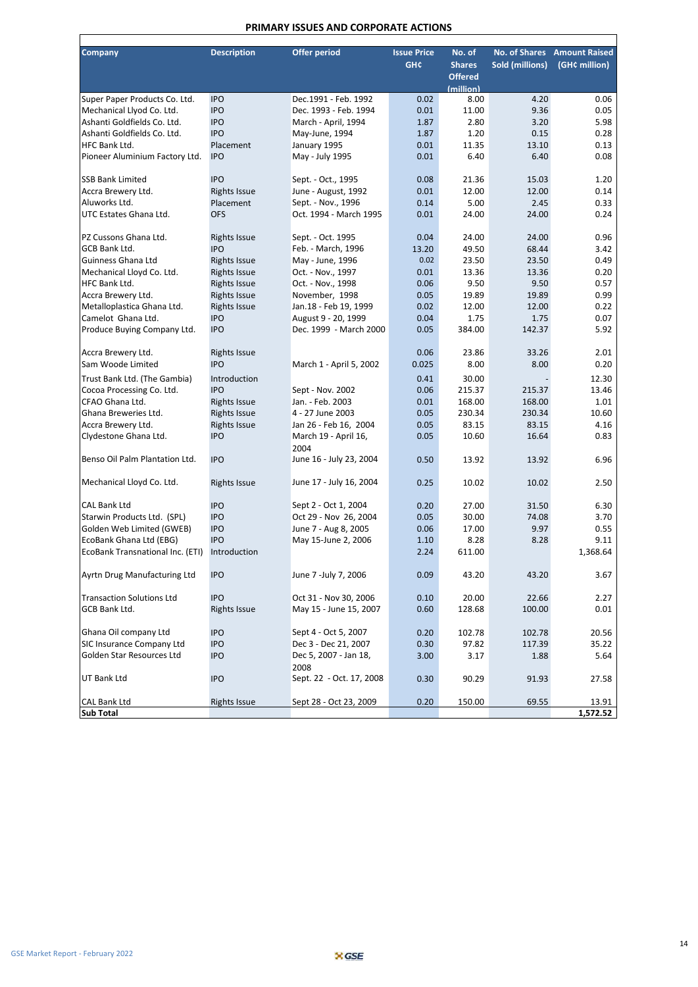#### **PRIMARY ISSUES AND CORPORATE ACTIONS**

| <b>Company</b>                   | <b>Description</b>  | <b>Offer period</b>                           | <b>Issue Price</b> | No. of         | <b>No. of Shares</b>   | <b>Amount Raised</b> |
|----------------------------------|---------------------|-----------------------------------------------|--------------------|----------------|------------------------|----------------------|
|                                  |                     |                                               | <b>GHC</b>         | <b>Shares</b>  | <b>Sold (millions)</b> | (GH¢ million)        |
|                                  |                     |                                               |                    | <b>Offered</b> |                        |                      |
|                                  |                     |                                               |                    | (million)      |                        |                      |
| Super Paper Products Co. Ltd.    | <b>IPO</b>          | Dec.1991 - Feb. 1992                          | 0.02               | 8.00           | 4.20                   | 0.06                 |
| Mechanical Llyod Co. Ltd.        | <b>IPO</b>          | Dec. 1993 - Feb. 1994                         | 0.01               | 11.00          | 9.36                   | 0.05                 |
| Ashanti Goldfields Co. Ltd.      | <b>IPO</b>          | March - April, 1994                           | 1.87               | 2.80           | 3.20                   | 5.98                 |
| Ashanti Goldfields Co. Ltd.      | <b>IPO</b>          | May-June, 1994                                | 1.87               | 1.20           | 0.15                   | 0.28                 |
| HFC Bank Ltd.                    | Placement           | January 1995                                  | 0.01               | 11.35          | 13.10                  | 0.13                 |
| Pioneer Aluminium Factory Ltd.   | <b>IPO</b>          | May - July 1995                               | 0.01               | 6.40           | 6.40                   | 0.08                 |
|                                  |                     |                                               |                    |                |                        |                      |
| <b>SSB Bank Limited</b>          | <b>IPO</b>          | Sept. - Oct., 1995                            | 0.08               | 21.36          | 15.03                  | 1.20                 |
| Accra Brewery Ltd.               | <b>Rights Issue</b> | June - August, 1992                           | 0.01               | 12.00          | 12.00                  | 0.14                 |
| Aluworks Ltd.                    | Placement           | Sept. - Nov., 1996                            | 0.14               | 5.00           | 2.45                   | 0.33                 |
| UTC Estates Ghana Ltd.           | <b>OFS</b>          | Oct. 1994 - March 1995                        | 0.01               | 24.00          | 24.00                  | 0.24                 |
|                                  |                     |                                               |                    |                |                        |                      |
| PZ Cussons Ghana Ltd.            | <b>Rights Issue</b> | Sept. - Oct. 1995                             | 0.04               | 24.00          | 24.00                  | 0.96                 |
| GCB Bank Ltd.                    | <b>IPO</b>          | Feb. - March, 1996                            | 13.20              | 49.50          | 68.44                  | 3.42                 |
| Guinness Ghana Ltd               | <b>Rights Issue</b> | May - June, 1996                              | 0.02               | 23.50          | 23.50                  | 0.49                 |
| Mechanical Lloyd Co. Ltd.        | <b>Rights Issue</b> | Oct. - Nov., 1997                             | 0.01               | 13.36          | 13.36                  | 0.20                 |
| HFC Bank Ltd.                    | <b>Rights Issue</b> | Oct. - Nov., 1998                             | 0.06               | 9.50           | 9.50                   | 0.57                 |
| Accra Brewery Ltd.               | <b>Rights Issue</b> | November, 1998                                | 0.05               | 19.89          | 19.89                  | 0.99                 |
| Metalloplastica Ghana Ltd.       | <b>Rights Issue</b> |                                               | 0.02               | 12.00          | 12.00                  | 0.22                 |
| Camelot Ghana Ltd.               | <b>IPO</b>          | Jan.18 - Feb 19, 1999                         | 0.04               | 1.75           | 1.75                   | 0.07                 |
|                                  |                     | August 9 - 20, 1999<br>Dec. 1999 - March 2000 |                    |                |                        |                      |
| Produce Buying Company Ltd.      | <b>IPO</b>          |                                               | 0.05               | 384.00         | 142.37                 | 5.92                 |
|                                  |                     |                                               |                    |                |                        |                      |
| Accra Brewery Ltd.               | <b>Rights Issue</b> |                                               | 0.06               | 23.86          | 33.26                  | 2.01                 |
| Sam Woode Limited                | <b>IPO</b>          | March 1 - April 5, 2002                       | 0.025              | 8.00           | 8.00                   | 0.20                 |
| Trust Bank Ltd. (The Gambia)     | Introduction        |                                               | 0.41               | 30.00          |                        | 12.30                |
| Cocoa Processing Co. Ltd.        | <b>IPO</b>          | Sept - Nov. 2002                              | 0.06               | 215.37         | 215.37                 | 13.46                |
| CFAO Ghana Ltd.                  | <b>Rights Issue</b> | Jan. - Feb. 2003                              | 0.01               | 168.00         | 168.00                 | 1.01                 |
| Ghana Breweries Ltd.             | <b>Rights Issue</b> | 4 - 27 June 2003                              | 0.05               | 230.34         | 230.34                 | 10.60                |
| Accra Brewery Ltd.               | <b>Rights Issue</b> | Jan 26 - Feb 16, 2004                         | 0.05               | 83.15          | 83.15                  | 4.16                 |
| Clydestone Ghana Ltd.            | <b>IPO</b>          | March 19 - April 16,                          | 0.05               | 10.60          | 16.64                  | 0.83                 |
|                                  |                     | 2004                                          |                    |                |                        |                      |
| Benso Oil Palm Plantation Ltd.   | <b>IPO</b>          | June 16 - July 23, 2004                       | 0.50               | 13.92          | 13.92                  | 6.96                 |
|                                  |                     |                                               |                    |                |                        |                      |
| Mechanical Lloyd Co. Ltd.        | <b>Rights Issue</b> | June 17 - July 16, 2004                       | 0.25               | 10.02          | 10.02                  | 2.50                 |
|                                  |                     |                                               |                    |                |                        |                      |
| <b>CAL Bank Ltd</b>              | <b>IPO</b>          | Sept 2 - Oct 1, 2004                          | 0.20               | 27.00          | 31.50                  | 6.30                 |
| Starwin Products Ltd. (SPL)      | <b>IPO</b>          | Oct 29 - Nov 26, 2004                         | 0.05               | 30.00          | 74.08                  | 3.70                 |
| Golden Web Limited (GWEB)        | <b>IPO</b>          | June 7 - Aug 8, 2005                          | 0.06               | 17.00          | 9.97                   | 0.55                 |
| EcoBank Ghana Ltd (EBG)          | <b>IPO</b>          | May 15-June 2, 2006                           | 1.10               | 8.28           | 8.28                   | 9.11                 |
| EcoBank Transnational Inc. (ETI) | Introduction        |                                               | 2.24               | 611.00         |                        | 1,368.64             |
|                                  |                     |                                               |                    |                |                        |                      |
| Ayrtn Drug Manufacturing Ltd     | <b>IPO</b>          | June 7 -July 7, 2006                          | 0.09               | 43.20          | 43.20                  | 3.67                 |
|                                  |                     |                                               |                    |                |                        |                      |
| <b>Transaction Solutions Ltd</b> | <b>IPO</b>          | Oct 31 - Nov 30, 2006                         | 0.10               | 20.00          | 22.66                  | 2.27                 |
| GCB Bank Ltd.                    | <b>Rights Issue</b> | May 15 - June 15, 2007                        | 0.60               | 128.68         | 100.00                 | 0.01                 |
|                                  |                     |                                               |                    |                |                        |                      |
| Ghana Oil company Ltd            | <b>IPO</b>          | Sept 4 - Oct 5, 2007                          | 0.20               | 102.78         | 102.78                 | 20.56                |
| SIC Insurance Company Ltd        | <b>IPO</b>          | Dec 3 - Dec 21, 2007                          | 0.30               | 97.82          | 117.39                 | 35.22                |
| Golden Star Resources Ltd        | <b>IPO</b>          | Dec 5, 2007 - Jan 18,                         | 3.00               | 3.17           | 1.88                   | 5.64                 |
|                                  |                     | 2008                                          |                    |                |                        |                      |
| UT Bank Ltd                      | <b>IPO</b>          | Sept. 22 - Oct. 17, 2008                      | 0.30               | 90.29          | 91.93                  | 27.58                |
|                                  |                     |                                               |                    |                |                        |                      |
| CAL Bank Ltd                     | <b>Rights Issue</b> | Sept 28 - Oct 23, 2009                        | 0.20               | 150.00         | 69.55                  | 13.91                |
| Sub Total                        |                     |                                               |                    |                |                        | 1,572.52             |

 $\mathbf{r}$ 

┑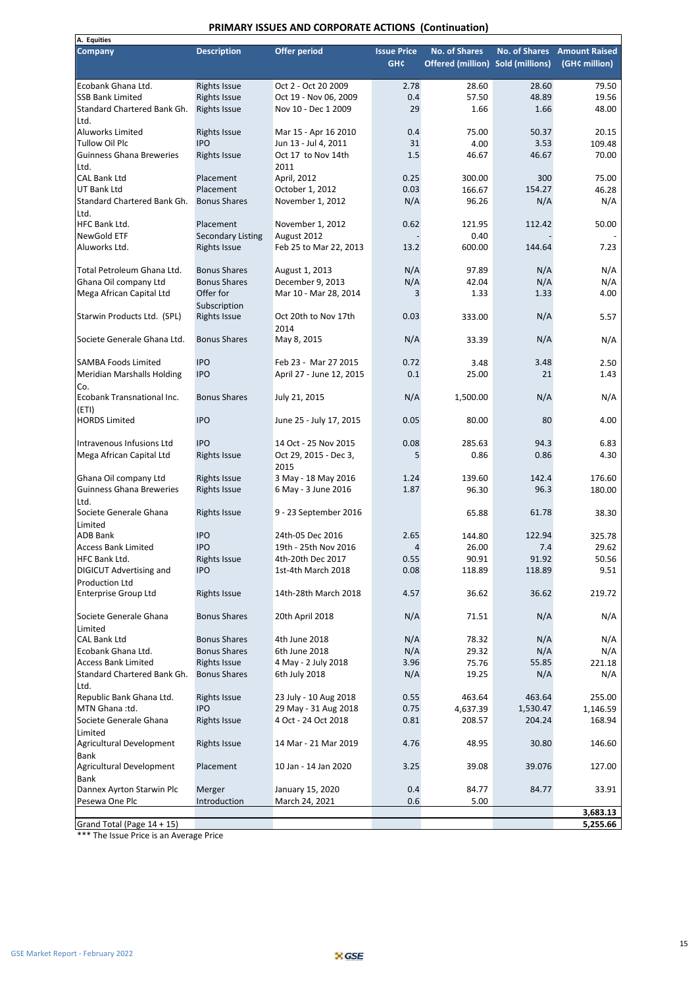#### **PRIMARY ISSUES AND CORPORATE ACTIONS (Continuation)**

| A. Equities                     |                          |                                       |                                  |                                                           |                      |                                       |
|---------------------------------|--------------------------|---------------------------------------|----------------------------------|-----------------------------------------------------------|----------------------|---------------------------------------|
| <b>Company</b>                  | <b>Description</b>       | <b>Offer period</b>                   | <b>Issue Price</b><br><b>GHC</b> | <b>No. of Shares</b><br>Offered (million) Sold (millions) | <b>No. of Shares</b> | <b>Amount Raised</b><br>(GH¢ million) |
| Ecobank Ghana Ltd.              | <b>Rights Issue</b>      | Oct 2 - Oct 20 2009                   | 2.78                             | 28.60                                                     | 28.60                | 79.50                                 |
| <b>SSB Bank Limited</b>         | <b>Rights Issue</b>      | Oct 19 - Nov 06, 2009                 | 0.4                              | 57.50                                                     | 48.89                | 19.56                                 |
| Standard Chartered Bank Gh.     | <b>Rights Issue</b>      | Nov 10 - Dec 1 2009                   | 29                               | 1.66                                                      | 1.66                 | 48.00                                 |
| Ltd.                            |                          |                                       |                                  |                                                           |                      |                                       |
| Aluworks Limited                | <b>Rights Issue</b>      | Mar 15 - Apr 16 2010                  | 0.4                              | 75.00                                                     | 50.37                | 20.15                                 |
| <b>Tullow Oil Plc</b>           | <b>IPO</b>               | Jun 13 - Jul 4, 2011                  | 31                               | 4.00                                                      | 3.53                 | 109.48                                |
| <b>Guinness Ghana Breweries</b> | <b>Rights Issue</b>      | Oct 17 to Nov 14th                    | 1.5                              | 46.67                                                     | 46.67                | 70.00                                 |
| Ltd.                            |                          | 2011                                  |                                  |                                                           |                      |                                       |
| <b>CAL Bank Ltd</b>             | Placement                | April, 2012                           | 0.25                             | 300.00                                                    | 300                  | 75.00                                 |
| <b>UT Bank Ltd</b>              | Placement                | October 1, 2012                       | 0.03                             | 166.67                                                    | 154.27               | 46.28                                 |
| Standard Chartered Bank Gh.     | <b>Bonus Shares</b>      | November 1, 2012                      | N/A                              | 96.26                                                     | N/A                  | N/A                                   |
| Ltd.<br>HFC Bank Ltd.           | Placement                |                                       | 0.62                             |                                                           | 112.42               |                                       |
| NewGold ETF                     |                          | November 1, 2012                      |                                  | 121.95<br>0.40                                            |                      | 50.00                                 |
| Aluworks Ltd.                   | <b>Secondary Listing</b> | August 2012<br>Feb 25 to Mar 22, 2013 | 13.2                             | 600.00                                                    | 144.64               | 7.23                                  |
|                                 | <b>Rights Issue</b>      |                                       |                                  |                                                           |                      |                                       |
| Total Petroleum Ghana Ltd.      | <b>Bonus Shares</b>      | August 1, 2013                        | N/A                              | 97.89                                                     | N/A                  | N/A                                   |
| Ghana Oil company Ltd           | <b>Bonus Shares</b>      | December 9, 2013                      | N/A                              | 42.04                                                     | N/A                  | N/A                                   |
| Mega African Capital Ltd        | Offer for                | Mar 10 - Mar 28, 2014                 | 3                                | 1.33                                                      | 1.33                 | 4.00                                  |
|                                 | Subscription             |                                       |                                  |                                                           |                      |                                       |
| Starwin Products Ltd. (SPL)     | <b>Rights Issue</b>      | Oct 20th to Nov 17th                  | 0.03                             | 333.00                                                    | N/A                  | 5.57                                  |
|                                 |                          | 2014                                  |                                  |                                                           |                      |                                       |
| Societe Generale Ghana Ltd.     | <b>Bonus Shares</b>      | May 8, 2015                           | N/A                              | 33.39                                                     | N/A                  | N/A                                   |
|                                 |                          |                                       |                                  |                                                           |                      |                                       |
| <b>SAMBA Foods Limited</b>      | <b>IPO</b>               | Feb 23 - Mar 27 2015                  | 0.72                             | 3.48                                                      | 3.48                 | 2.50                                  |
| Meridian Marshalls Holding      | <b>IPO</b>               | April 27 - June 12, 2015              | 0.1                              | 25.00                                                     | 21                   | 1.43                                  |
| Co.                             |                          |                                       |                                  |                                                           |                      |                                       |
| Ecobank Transnational Inc.      | <b>Bonus Shares</b>      | July 21, 2015                         | N/A                              | 1,500.00                                                  | N/A                  | N/A                                   |
| (ETI)                           |                          |                                       |                                  |                                                           |                      |                                       |
| <b>HORDS Limited</b>            | <b>IPO</b>               | June 25 - July 17, 2015               | 0.05                             | 80.00                                                     | 80                   | 4.00                                  |
|                                 |                          |                                       |                                  |                                                           |                      |                                       |
| Intravenous Infusions Ltd       | <b>IPO</b>               | 14 Oct - 25 Nov 2015                  | 0.08                             | 285.63                                                    | 94.3                 | 6.83                                  |
| Mega African Capital Ltd        | <b>Rights Issue</b>      | Oct 29, 2015 - Dec 3,                 | 5                                | 0.86                                                      | 0.86                 | 4.30                                  |
|                                 |                          | 2015                                  |                                  |                                                           |                      |                                       |
| Ghana Oil company Ltd           | <b>Rights Issue</b>      | 3 May - 18 May 2016                   | 1.24                             | 139.60                                                    | 142.4                | 176.60                                |
| <b>Guinness Ghana Breweries</b> | <b>Rights Issue</b>      | 6 May - 3 June 2016                   | 1.87                             | 96.30                                                     | 96.3                 | 180.00                                |
| Ltd.<br>Societe Generale Ghana  | <b>Rights Issue</b>      | 9 - 23 September 2016                 |                                  | 65.88                                                     | 61.78                | 38.30                                 |
| Limited                         |                          |                                       |                                  |                                                           |                      |                                       |
| <b>ADB Bank</b>                 | <b>IPO</b>               | 24th-05 Dec 2016                      | 2.65                             | 144.80                                                    | 122.94               | 325.78                                |
| <b>Access Bank Limited</b>      | <b>IPO</b>               | 19th - 25th Nov 2016                  | $\overline{4}$                   | 26.00                                                     | 7.4                  | 29.62                                 |
| HFC Bank Ltd.                   | <b>Rights Issue</b>      | 4th-20th Dec 2017                     | 0.55                             | 90.91                                                     | 91.92                | 50.56                                 |
| DIGICUT Advertising and         | <b>IPO</b>               | 1st-4th March 2018                    | 0.08                             | 118.89                                                    | 118.89               | 9.51                                  |
| <b>Production Ltd</b>           |                          |                                       |                                  |                                                           |                      |                                       |
| <b>Enterprise Group Ltd</b>     | <b>Rights Issue</b>      | 14th-28th March 2018                  | 4.57                             | 36.62                                                     | 36.62                | 219.72                                |
|                                 |                          |                                       |                                  |                                                           |                      |                                       |
| Societe Generale Ghana          | <b>Bonus Shares</b>      | 20th April 2018                       | N/A                              | 71.51                                                     | N/A                  | N/A                                   |
| Limited                         |                          |                                       |                                  |                                                           |                      |                                       |
| <b>CAL Bank Ltd</b>             | <b>Bonus Shares</b>      | 4th June 2018                         | N/A                              | 78.32                                                     | N/A                  | N/A                                   |
| Ecobank Ghana Ltd.              | <b>Bonus Shares</b>      | 6th June 2018                         | N/A                              | 29.32                                                     | N/A                  | N/A                                   |
| <b>Access Bank Limited</b>      | <b>Rights Issue</b>      | 4 May - 2 July 2018                   | 3.96                             | 75.76                                                     | 55.85                | 221.18                                |
| Standard Chartered Bank Gh.     | <b>Bonus Shares</b>      | 6th July 2018                         | N/A                              | 19.25                                                     | N/A                  | N/A                                   |
| Ltd.                            |                          |                                       |                                  |                                                           |                      |                                       |
| Republic Bank Ghana Ltd.        | <b>Rights Issue</b>      | 23 July - 10 Aug 2018                 | 0.55                             | 463.64                                                    | 463.64               | 255.00                                |
| MTN Ghana:td.                   | <b>IPO</b>               | 29 May - 31 Aug 2018                  | 0.75                             | 4,637.39                                                  | 1,530.47             | 1,146.59                              |
| Societe Generale Ghana          | <b>Rights Issue</b>      | 4 Oct - 24 Oct 2018                   | 0.81                             | 208.57                                                    | 204.24               | 168.94                                |
| Limited                         |                          |                                       |                                  |                                                           |                      |                                       |
| Agricultural Development        | <b>Rights Issue</b>      | 14 Mar - 21 Mar 2019                  | 4.76                             | 48.95                                                     | 30.80                | 146.60                                |
| Bank                            |                          |                                       |                                  |                                                           |                      |                                       |
| Agricultural Development        | Placement                | 10 Jan - 14 Jan 2020                  | 3.25                             | 39.08                                                     | 39.076               | 127.00                                |
| Bank                            |                          |                                       |                                  |                                                           |                      |                                       |
| Dannex Ayrton Starwin Plc       | Merger                   | January 15, 2020                      | 0.4                              | 84.77                                                     | 84.77                | 33.91                                 |
| Pesewa One Plc                  | Introduction             | March 24, 2021                        | 0.6                              | 5.00                                                      |                      | 3,683.13                              |
| Grand Total (Page 14 + 15)      |                          |                                       |                                  |                                                           |                      | 5,255.66                              |

\*\*\* The Issue Price is an Average Price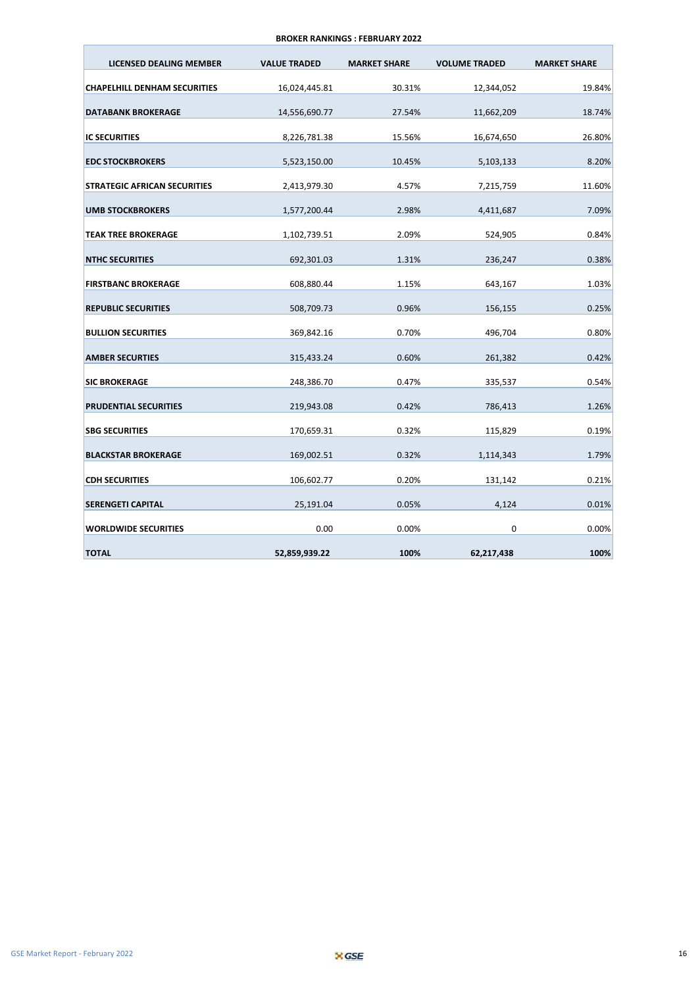#### **BROKER RANKINGS : FEBRUARY 2022**

| LICENSED DEALING MEMBER             | <b>VALUE TRADED</b> | <b>MARKET SHARE</b> | <b>VOLUME TRADED</b> | <b>MARKET SHARE</b> |
|-------------------------------------|---------------------|---------------------|----------------------|---------------------|
| <b>CHAPELHILL DENHAM SECURITIES</b> | 16,024,445.81       | 30.31%              | 12,344,052           | 19.84%              |
| <b>DATABANK BROKERAGE</b>           | 14,556,690.77       | 27.54%              | 11,662,209           | 18.74%              |
| <b>IC SECURITIES</b>                | 8,226,781.38        | 15.56%              | 16,674,650           | 26.80%              |
| <b>EDC STOCKBROKERS</b>             | 5,523,150.00        | 10.45%              | 5,103,133            | 8.20%               |
| <b>STRATEGIC AFRICAN SECURITIES</b> | 2,413,979.30        | 4.57%               | 7,215,759            | 11.60%              |
| <b>UMB STOCKBROKERS</b>             | 1,577,200.44        | 2.98%               | 4,411,687            | 7.09%               |
| <b>TEAK TREE BROKERAGE</b>          | 1,102,739.51        | 2.09%               | 524,905              | 0.84%               |
| <b>NTHC SECURITIES</b>              | 692,301.03          | 1.31%               | 236,247              | 0.38%               |
| <b>FIRSTBANC BROKERAGE</b>          | 608,880.44          | 1.15%               | 643,167              | 1.03%               |
| <b>REPUBLIC SECURITIES</b>          | 508,709.73          | 0.96%               | 156,155              | 0.25%               |
| <b>BULLION SECURITIES</b>           | 369,842.16          | 0.70%               | 496,704              | 0.80%               |
| <b>AMBER SECURTIES</b>              | 315,433.24          | 0.60%               | 261,382              | 0.42%               |
| <b>SIC BROKERAGE</b>                | 248,386.70          | 0.47%               | 335,537              | 0.54%               |
| <b>PRUDENTIAL SECURITIES</b>        | 219,943.08          | 0.42%               | 786,413              | 1.26%               |
| <b>SBG SECURITIES</b>               | 170,659.31          | 0.32%               | 115,829              | 0.19%               |
| <b>BLACKSTAR BROKERAGE</b>          | 169,002.51          | 0.32%               | 1,114,343            | 1.79%               |
| <b>CDH SECURITIES</b>               | 106,602.77          | 0.20%               | 131,142              | 0.21%               |
| <b>SERENGETI CAPITAL</b>            | 25,191.04           | 0.05%               | 4,124                | 0.01%               |
| <b>WORLDWIDE SECURITIES</b>         | 0.00                | 0.00%               | $\Omega$             | 0.00%               |
| <b>TOTAL</b>                        | 52,859,939.22       | 100%                | 62,217,438           | 100%                |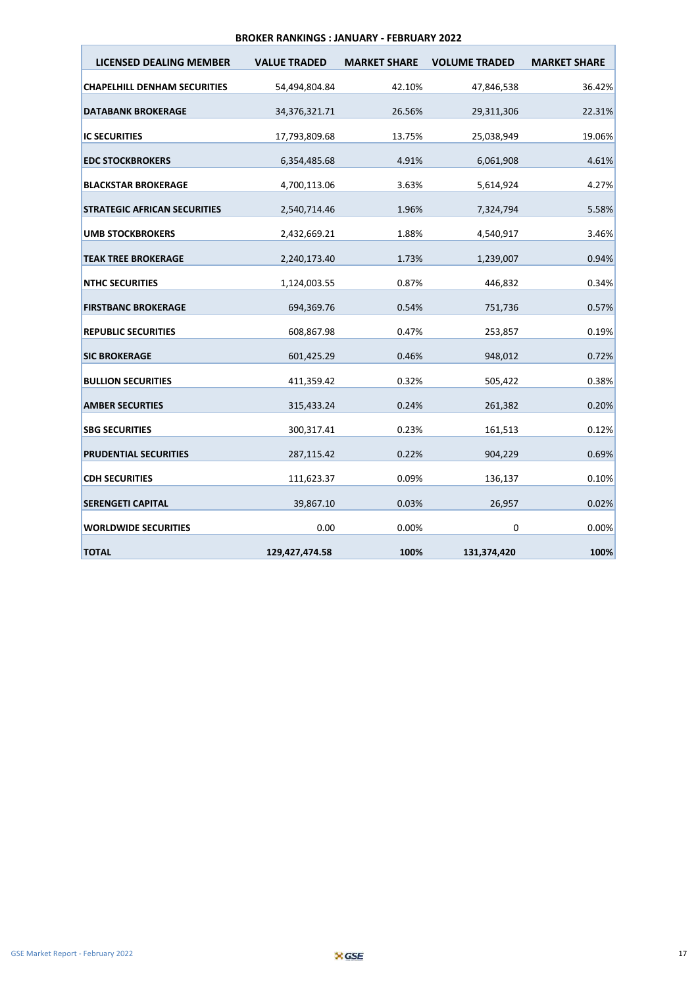#### **BROKER RANKINGS : JANUARY - FEBRUARY 2022**

| LICENSED DEALING MEMBER             | <b>VALUE TRADED</b> | <b>MARKET SHARE</b> | <b>VOLUME TRADED</b> | <b>MARKET SHARE</b> |
|-------------------------------------|---------------------|---------------------|----------------------|---------------------|
| <b>CHAPELHILL DENHAM SECURITIES</b> | 54,494,804.84       | 42.10%              | 47,846,538           | 36.42%              |
| <b>DATABANK BROKERAGE</b>           | 34,376,321.71       | 26.56%              | 29,311,306           | 22.31%              |
| <b>IC SECURITIES</b>                | 17,793,809.68       | 13.75%              | 25,038,949           | 19.06%              |
| <b>EDC STOCKBROKERS</b>             | 6,354,485.68        | 4.91%               | 6,061,908            | 4.61%               |
| <b>BLACKSTAR BROKERAGE</b>          | 4,700,113.06        | 3.63%               | 5,614,924            | 4.27%               |
| <b>STRATEGIC AFRICAN SECURITIES</b> | 2,540,714.46        | 1.96%               | 7,324,794            | 5.58%               |
| <b>UMB STOCKBROKERS</b>             | 2,432,669.21        | 1.88%               | 4,540,917            | 3.46%               |
|                                     |                     |                     |                      |                     |
| <b>TEAK TREE BROKERAGE</b>          | 2,240,173.40        | 1.73%               | 1,239,007            | 0.94%               |
| <b>NTHC SECURITIES</b>              | 1,124,003.55        | 0.87%               | 446,832              | 0.34%               |
| <b>FIRSTBANC BROKERAGE</b>          | 694,369.76          | 0.54%               | 751,736              | 0.57%               |
| <b>REPUBLIC SECURITIES</b>          | 608,867.98          | 0.47%               | 253,857              | 0.19%               |
| <b>SIC BROKERAGE</b>                | 601,425.29          | 0.46%               | 948,012              | 0.72%               |
| <b>BULLION SECURITIES</b>           | 411,359.42          | 0.32%               | 505,422              | 0.38%               |
| <b>AMBER SECURTIES</b>              | 315,433.24          | 0.24%               | 261,382              | 0.20%               |
| <b>SBG SECURITIES</b>               | 300,317.41          | 0.23%               | 161,513              | 0.12%               |
| <b>PRUDENTIAL SECURITIES</b>        | 287,115.42          | 0.22%               | 904,229              | 0.69%               |
| <b>CDH SECURITIES</b>               | 111,623.37          | 0.09%               | 136,137              | 0.10%               |
| <b>SERENGETI CAPITAL</b>            | 39,867.10           | 0.03%               | 26,957               | 0.02%               |
| <b>WORLDWIDE SECURITIES</b>         | 0.00                | 0.00%               | $\Omega$             | 0.00%               |
| <b>TOTAL</b>                        | 129,427,474.58      | 100%                | 131,374,420          | 100%                |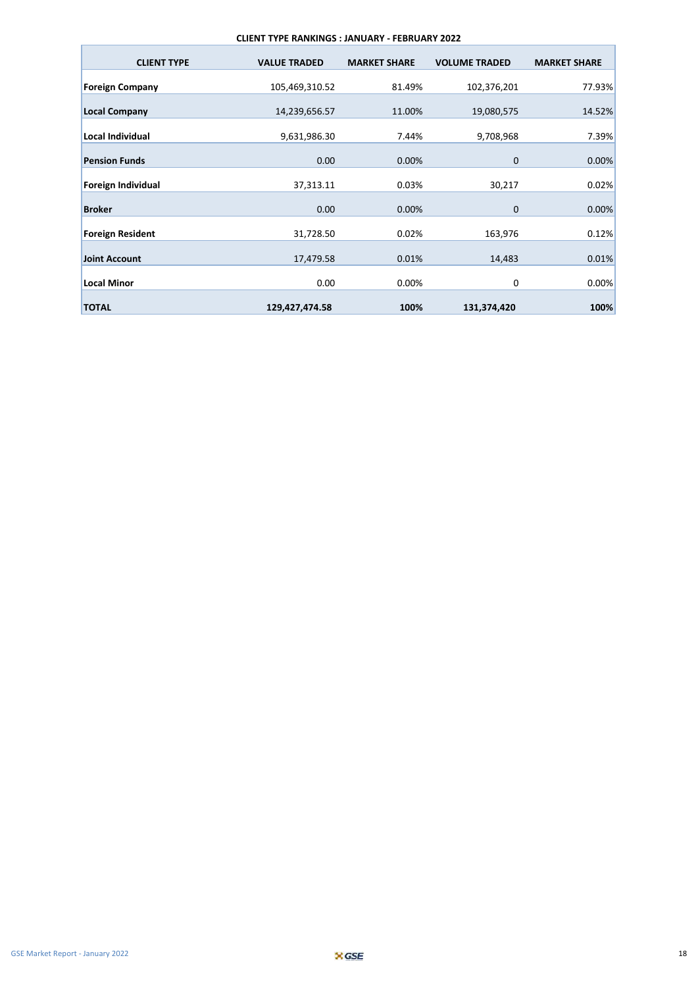#### **CLIENT TYPE RANKINGS : JANUARY - FEBRUARY 2022**

| <b>CLIENT TYPE</b>      | <b>VALUE TRADED</b> | <b>MARKET SHARE</b> | <b>VOLUME TRADED</b> | <b>MARKET SHARE</b> |
|-------------------------|---------------------|---------------------|----------------------|---------------------|
| <b>Foreign Company</b>  | 105,469,310.52      | 81.49%              | 102,376,201          | 77.93%              |
| <b>Local Company</b>    | 14,239,656.57       | 11.00%              | 19,080,575           | 14.52%              |
| <b>Local Individual</b> | 9,631,986.30        | 7.44%               | 9,708,968            | 7.39%               |
| <b>Pension Funds</b>    | 0.00                | 0.00%               | $\mathbf 0$          | 0.00%               |
| Foreign Individual      | 37,313.11           | 0.03%               | 30,217               | 0.02%               |
| <b>Broker</b>           | 0.00                | 0.00%               | $\mathbf{0}$         | 0.00%               |
| <b>Foreign Resident</b> | 31,728.50           | 0.02%               | 163,976              | 0.12%               |
| <b>Joint Account</b>    | 17,479.58           | 0.01%               | 14,483               | 0.01%               |
| <b>Local Minor</b>      | 0.00                | 0.00%               | 0                    | 0.00%               |
| <b>TOTAL</b>            | 129,427,474.58      | 100%                | 131,374,420          | 100%                |